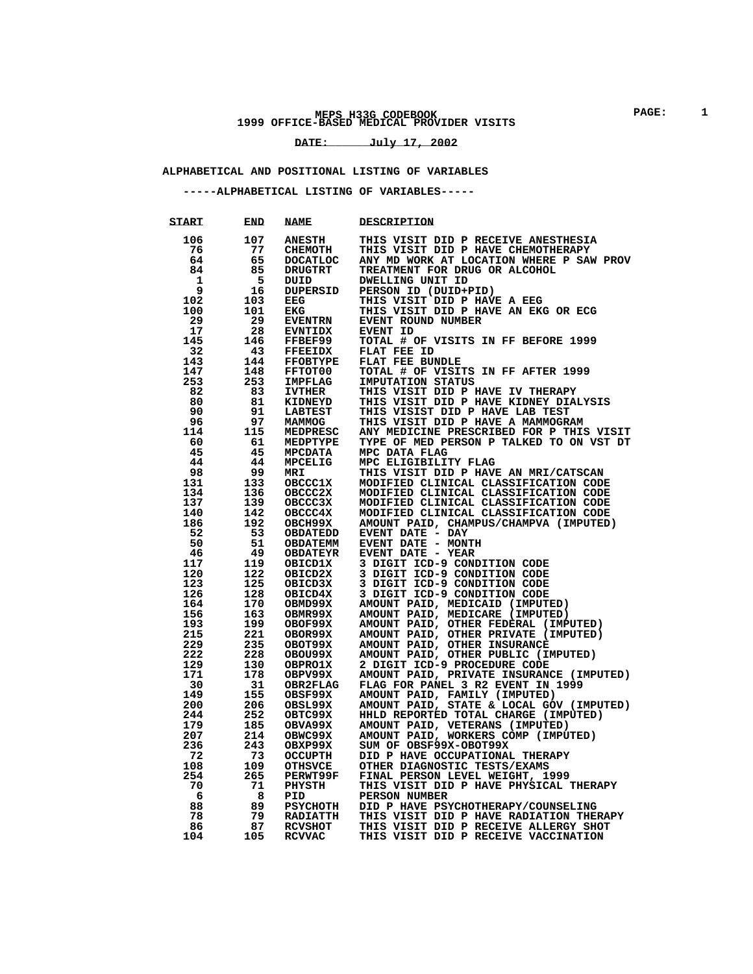#### **MEPS H33G CODEBOOK PAGE: 1 1999 OFFICE-BASED MEDICAL PROVIDER VISITS**

#### **DATE: July 17, 2002 \_\_\_\_\_\_\_\_\_\_\_\_\_\_\_\_\_\_\_\_\_\_\_\_**

#### **ALPHABETICAL AND POSITIONAL LISTING OF VARIABLES**

 **-----ALPHABETICAL LISTING OF VARIABLES-----** 

| <b>START</b> | END        | <b>NAME</b>        | DESCRIPTION                                                             |
|--------------|------------|--------------------|-------------------------------------------------------------------------|
| 106          | 107        | <b>ANESTH</b>      | THIS VISIT DID P RECEIVE ANESTHESIA                                     |
| 76           | 77         | <b>CHEMOTH</b>     | THIS VISIT DID P HAVE CHEMOTHERAPY                                      |
| 64           | 65         | <b>DOCATLOC</b>    | ANY MD WORK AT LOCATION WHERE P SAW PROV                                |
| 84           | 85         | <b>DRUGTRT</b>     | TREATMENT FOR DRUG OR ALCOHOL                                           |
| 1            | 5          | DUID               | DWELLING UNIT ID                                                        |
| 9            | 16         | <b>DUPERSID</b>    | PERSON ID (DUID+PID)                                                    |
| 102          | 103        | EEG                | THIS VISIT DID P HAVE A EEG                                             |
| 100          | 101        | EKG                | THIS VISIT DID P HAVE AN EKG OR ECG                                     |
| 29           | 29         | <b>EVENTRN</b>     | EVENT ROUND NUMBER                                                      |
| 17           | 28         | EVNTIDX            | <b>EVENT ID</b>                                                         |
| 145          | 146        | FFBEF99            | TOTAL # OF VISITS IN FF BEFORE 1999                                     |
| 32           | 43         | <b>FFEEIDX</b>     | FLAT FEE ID                                                             |
| 143          | 144        | <b>FFOBTYPE</b>    | FLAT FEE BUNDLE                                                         |
| 147          | 148        | <b>FFTOT00</b>     | TOTAL # OF VISITS IN FF AFTER 1999                                      |
| 253          | 253        | IMPFLAG            | <b>IMPUTATION STATUS</b>                                                |
| 82           | 83         | <b>IVTHER</b>      | THIS VISIT DID P HAVE IV THERAPY                                        |
| 80           | 81         | <b>KIDNEYD</b>     | THIS VISIT DID P HAVE KIDNEY DIALYSIS                                   |
| 90           | 91         | <b>LABTEST</b>     | THIS VISIST DID P HAVE LAB TEST                                         |
| 96           | 97         | <b>MAMMOG</b>      | THIS VISIT DID P HAVE A MAMMOGRAM                                       |
| 114          | 115        | <b>MEDPRESC</b>    | ANY MEDICINE PRESCRIBED FOR P THIS VISIT                                |
| 60           | 61         | MEDPTYPE           | TYPE OF MED PERSON P TALKED TO ON VST DT                                |
| 45           | 45         | <b>MPCDATA</b>     | MPC DATA FLAG                                                           |
| 44           | 44         | <b>MPCELIG</b>     | MPC ELIGIBILITY FLAG                                                    |
| 98           | 99         | <b>MRI</b>         | THIS VISIT DID P HAVE AN MRI/CATSCAN                                    |
| 131          | 133        | OBCCC1X            | MODIFIED CLINICAL CLASSIFICATION CODE                                   |
| 134          | 136        | <b>OBCCC2X</b>     | MODIFIED CLINICAL CLASSIFICATION CODE                                   |
| 137          | 139        | OBCCC3X            | MODIFIED CLINICAL CLASSIFICATION CODE                                   |
| 140          | 142        | <b>OBCCC4X</b>     | MODIFIED CLINICAL CLASSIFICATION CODE                                   |
| 186          | 192        | OBCH99X            | AMOUNT PAID, CHAMPUS/CHAMPVA (IMPUTED)                                  |
| 52           | 53         | <b>OBDATEDD</b>    | EVENT DATE - DAY                                                        |
| 50           | 51         | <b>OBDATEMM</b>    | EVENT DATE - MONTH                                                      |
| 46           | 49         | <b>OBDATEYR</b>    | EVENT DATE - YEAR                                                       |
| 117          | 119        | <b>OBICD1X</b>     | 3 DIGIT ICD-9 CONDITION CODE                                            |
| 120          | 122        | <b>OBICD2X</b>     | 3 DIGIT ICD-9 CONDITION CODE                                            |
| 123          | 125        | OBICD3X            | 3 DIGIT ICD-9 CONDITION CODE<br>3 DIGIT ICD-9 CONDITION CODE            |
| 126<br>164   | 128        | OBICD4X            |                                                                         |
| 156          | 170<br>163 | OBMD99X<br>OBMR99X | AMOUNT PAID, MEDICAID (IMPUTED)                                         |
| 193          | 199        | OBOF99X            | AMOUNT PAID, MEDICARE (IMPUTED)<br>AMOUNT PAID, OTHER FEDERAL (IMPUTED) |
| 215          | 221        | OBOR99X            | AMOUNT PAID, OTHER PRIVATE (IMPUTED)                                    |
| 229          | 235        | OBOT99X            | AMOUNT PAID, OTHER INSURANCE                                            |
| 222          | 228        | OBOU99X            | AMOUNT PAID, OTHER PUBLIC (IMPUTED)                                     |
| 129          | 130        | OBPRO1X            | 2 DIGIT ICD-9 PROCEDURE CODE                                            |
| 171          | 178        | OBPV99X            | AMOUNT PAID, PRIVATE INSURANCE (IMPUTED)                                |
| 30           | 31         | OBR2FLAG           | FLAG FOR PANEL 3 R2 EVENT IN 1999                                       |
| 149          | 155        | OBSF99X            | AMOUNT PAID, FAMILY (IMPUTED)                                           |
| 200          | 206        | OBSL99X            | AMOUNT PAID, STATE & LOCAL GOV (IMPUTED)                                |
| 244          | 252        | OBTC99X            | HHLD REPORTED TOTAL CHARGE (IMPUTED)                                    |
| 179          | 185        | OBVA99X            | AMOUNT PAID, VETERANS (IMPUTED)                                         |
| 207          | 214        | OBWC99X            | AMOUNT PAID, WORKERS COMP (IMPUTED)                                     |
| 236          | 243        | OBXP99X            | SUM OF OBSF99X-OBOT99X                                                  |
| 72           | 73         | OCCUPTH            | DID P HAVE OCCUPATIONAL THERAPY                                         |
| 108          | 109        | <b>OTHSVCE</b>     | OTHER DIAGNOSTIC TESTS/EXAMS                                            |
| 254          | 265        | PERWT99F           | FINAL PERSON LEVEL WEIGHT, 1999                                         |
| 70           | 71         | PHYSTH             | THIS VISIT DID P HAVE PHYSICAL THERAPY                                  |
| 6            | 8          | PID                | PERSON NUMBER                                                           |
| 88           | 89         | <b>PSYCHOTH</b>    | DID P HAVE PSYCHOTHERAPY/COUNSELING                                     |
| 78           | 79         | <b>RADIATTH</b>    | THIS VISIT DID P HAVE RADIATION THERAPY                                 |
| 86           | 87         | <b>RCVSHOT</b>     | THIS VISIT DID P RECEIVE ALLERGY SHOT                                   |
| 104          | 105        | <b>RCVVAC</b>      | THIS VISIT DID P RECEIVE VACCINATION                                    |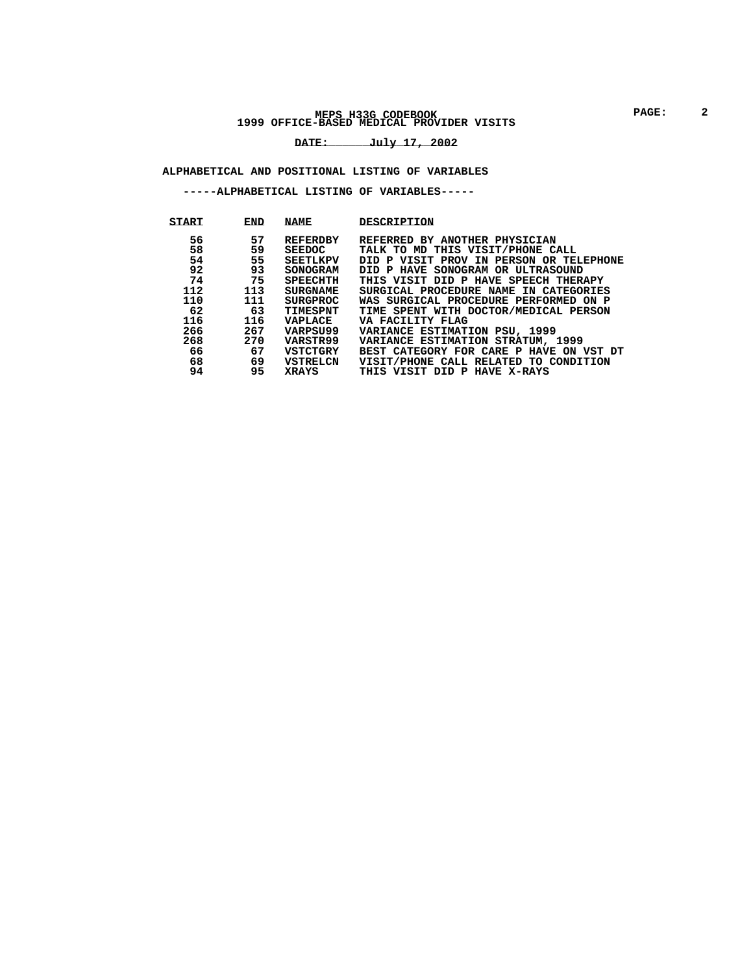#### **MEPS H33G CODEBOOK PAGE: 2 1999 OFFICE-BASED MEDICAL PROVIDER VISITS**

#### **DATE: July 17, 2002 \_\_\_\_\_\_\_\_\_\_\_\_\_\_\_\_\_\_\_\_\_\_\_\_**

#### **ALPHABETICAL AND POSITIONAL LISTING OF VARIABLES**

 **-----ALPHABETICAL LISTING OF VARIABLES-----** 

| START | END | <b>NAME</b>     | DESCRIPTION                             |
|-------|-----|-----------------|-----------------------------------------|
| 56    | 57  | REFERDBY        | REFERRED BY ANOTHER PHYSICIAN           |
| 58    | 59  | <b>SEEDOC</b>   | TALK TO MD THIS VISIT/PHONE CALL        |
| 54    | 55  | <b>SEETLKPV</b> | DID P VISIT PROV IN PERSON OR TELEPHONE |
| 92    | 93  | <b>SONOGRAM</b> | DID P HAVE SONOGRAM OR ULTRASOUND       |
| 74    | 75  | <b>SPEECHTH</b> | THIS VISIT DID P HAVE SPEECH THERAPY    |
| 112   | 113 | SURGNAME        | SURGICAL PROCEDURE NAME IN CATEGORIES   |
| 110   | 111 | <b>SURGPROC</b> | WAS SURGICAL PROCEDURE PERFORMED ON P   |
| 62    | 63  | <b>TIMESPNT</b> | TIME SPENT WITH DOCTOR/MEDICAL PERSON   |
| 116   | 116 | VAPLACE         | VA FACILITY FLAG                        |
| 266   | 267 | <b>VARPSU99</b> | VARIANCE ESTIMATION PSU, 1999           |
| 268   | 270 | <b>VARSTR99</b> | VARIANCE ESTIMATION STRATUM, 1999       |
| 66    | 67  | <b>VSTCTGRY</b> | BEST CATEGORY FOR CARE P HAVE ON VST DT |
| 68    | 69  | VSTRELCN        | VISIT/PHONE CALL RELATED TO CONDITION   |
| 94    | 95  | <b>XRAYS</b>    | THIS VISIT DID P HAVE X-RAYS            |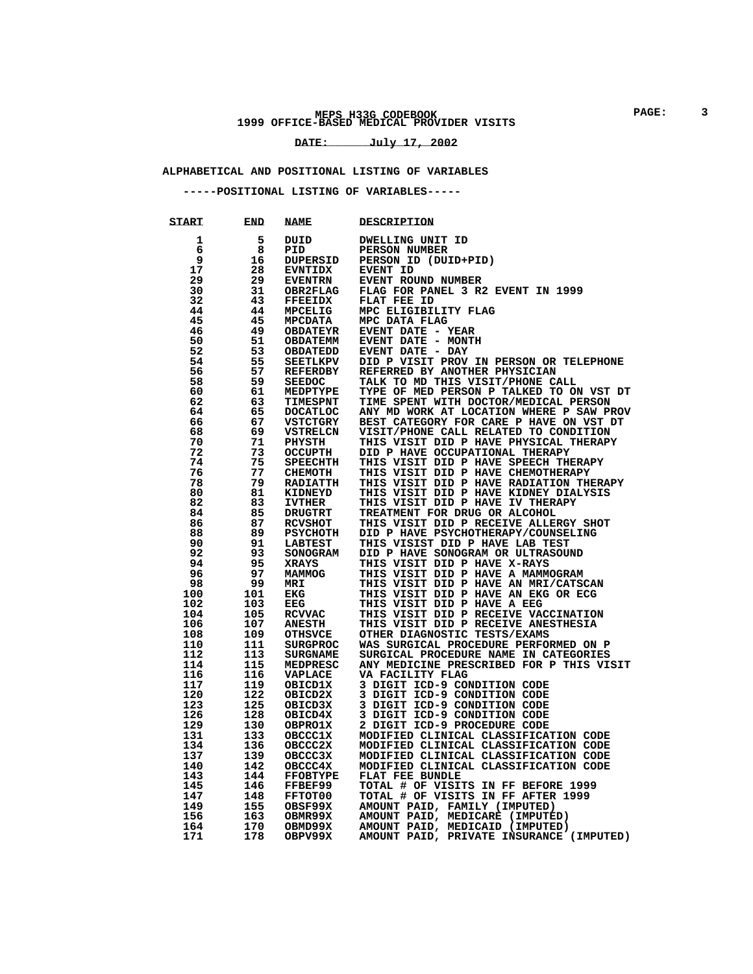#### **MEPS H33G CODEBOOK PAGE: 3 1999 OFFICE-BASED MEDICAL PROVIDER VISITS**

#### **DATE: July 17, 2002 \_\_\_\_\_\_\_\_\_\_\_\_\_\_\_\_\_\_\_\_\_\_\_\_**

#### **ALPHABETICAL AND POSITIONAL LISTING OF VARIABLES**

 **-----POSITIONAL LISTING OF VARIABLES-----** 

| <b>START</b> | END | <b>NAME</b>     | DESCRIPTION                              |
|--------------|-----|-----------------|------------------------------------------|
| 1            | 5   | DUID            | DWELLING UNIT ID                         |
| 6            | 8   | PID             | PERSON NUMBER                            |
| 9            | 16  | <b>DUPERSID</b> | PERSON ID (DUID+PID)                     |
| 17           | 28  | <b>EVNTIDX</b>  | EVENT ID                                 |
| 29           | 29  | <b>EVENTRN</b>  | EVENT ROUND NUMBER                       |
| 30           | 31  | <b>OBR2FLAG</b> | FLAG FOR PANEL 3 R2 EVENT IN 1999        |
| 32           | 43  | FFEEIDX         | FLAT FEE ID                              |
| 44           | 44  | <b>MPCELIG</b>  | MPC ELIGIBILITY FLAG                     |
| 45           | 45  | <b>MPCDATA</b>  | MPC DATA FLAG                            |
| 46           | 49  | <b>OBDATEYR</b> | EVENT DATE - YEAR                        |
| 50           | 51  | <b>OBDATEMM</b> | EVENT DATE - MONTH                       |
| 52           | 53  | <b>OBDATEDD</b> | EVENT DATE - DAY                         |
| 54           | 55  | <b>SEETLKPV</b> | DID P VISIT PROV IN PERSON OR TELEPHONE  |
| 56           | 57  | <b>REFERDBY</b> | REFERRED BY ANOTHER PHYSICIAN            |
| 58           | 59  | <b>SEEDOC</b>   | TALK TO MD THIS VISIT/PHONE CALL         |
| 60           | 61  | MEDPTYPE        | TYPE OF MED PERSON P TALKED TO ON VST DT |
| 62           | 63  | <b>TIMESPNT</b> | TIME SPENT WITH DOCTOR/MEDICAL PERSON    |
| 64           | 65  | <b>DOCATLOC</b> | ANY MD WORK AT LOCATION WHERE P SAW PROV |
| 66           | 67  | <b>VSTCTGRY</b> | BEST CATEGORY FOR CARE P HAVE ON VST DT  |
| 68           | 69  | <b>VSTRELCN</b> | VISIT/PHONE CALL RELATED TO CONDITION    |
| 70           | 71  | PHYSTH          | THIS VISIT DID P HAVE PHYSICAL THERAPY   |
| 72           | 73  | <b>OCCUPTH</b>  | DID P HAVE OCCUPATIONAL THERAPY          |
| 74           | 75  | <b>SPEECHTH</b> | THIS VISIT DID P HAVE SPEECH THERAPY     |
| 76           | 77  | <b>CHEMOTH</b>  | THIS VISIT DID P HAVE CHEMOTHERAPY       |
| 78           | 79  | <b>RADIATTH</b> | THIS VISIT DID P HAVE RADIATION THERAPY  |
| 80           | 81  | <b>KIDNEYD</b>  | THIS VISIT DID P HAVE KIDNEY DIALYSIS    |
| 82           | 83  | <b>IVTHER</b>   | THIS VISIT DID P HAVE IV THERAPY         |
| 84           | 85  | <b>DRUGTRT</b>  | TREATMENT FOR DRUG OR ALCOHOL            |
| 86           | 87  | <b>RCVSHOT</b>  | THIS VISIT DID P RECEIVE ALLERGY SHOT    |
| 88           | 89  | PSYCHOTH        | DID P HAVE PSYCHOTHERAPY/COUNSELING      |
| 90           | 91  | <b>LABTEST</b>  | THIS VISIST DID P HAVE LAB TEST          |
| 92           | 93  | <b>SONOGRAM</b> | DID P HAVE SONOGRAM OR ULTRASOUND        |
| 94           | 95  | XRAYS           | THIS VISIT DID P HAVE X-RAYS             |
| 96           | 97  | <b>MAMMOG</b>   | THIS VISIT DID P HAVE A MAMMOGRAM        |
| 98           | 99  | MRI             | THIS VISIT DID P HAVE AN MRI/CATSCAN     |
| 100          | 101 | EKG             | THIS VISIT DID P HAVE AN EKG OR ECG      |
| 102          | 103 | <b>EEG</b>      | THIS VISIT DID P HAVE A EEG              |
| 104          | 105 | <b>RCVVAC</b>   | THIS VISIT DID P RECEIVE VACCINATION     |
| 106          | 107 | <b>ANESTH</b>   | THIS VISIT DID P RECEIVE ANESTHESIA      |
| 108          | 109 | <b>OTHSVCE</b>  | OTHER DIAGNOSTIC TESTS/EXAMS             |
| 110          | 111 | <b>SURGPROC</b> | WAS SURGICAL PROCEDURE PERFORMED ON P    |
| 112          | 113 | <b>SURGNAME</b> | SURGICAL PROCEDURE NAME IN CATEGORIES    |
| 114          | 115 | MEDPRESC        | ANY MEDICINE PRESCRIBED FOR P THIS VISIT |
| 116          | 116 | <b>VAPLACE</b>  | VA FACILITY FLAG                         |
| 117          | 119 | <b>OBICD1X</b>  | 3 DIGIT ICD-9 CONDITION CODE             |
| 120          | 122 | OBICD2X         | 3 DIGIT ICD-9 CONDITION CODE             |
| 123          | 125 | OBICD3X         | 3 DIGIT ICD-9 CONDITION CODE             |
| 126          | 128 | OBICD4X         | 3 DIGIT ICD-9 CONDITION CODE             |
| 129          | 130 | OBPRO1X         | 2 DIGIT ICD-9 PROCEDURE CODE             |
| 131          | 133 | <b>OBCCC1X</b>  | MODIFIED CLINICAL CLASSIFICATION CODE    |
| 134          | 136 | <b>OBCCC2X</b>  | MODIFIED CLINICAL CLASSIFICATION CODE    |
| 137          | 139 | OBCCC3X         | MODIFIED CLINICAL CLASSIFICATION CODE    |
| 140          | 142 | OBCCC4X         | MODIFIED CLINICAL CLASSIFICATION CODE    |
| 143          | 144 | <b>FFOBTYPE</b> | FLAT FEE BUNDLE                          |
| 145          | 146 | FFBEF99         | TOTAL # OF VISITS IN FF BEFORE 1999      |
| 147          | 148 | <b>FFTOT00</b>  | TOTAL # OF VISITS IN FF AFTER 1999       |
| 149          | 155 | OBSF99X         | AMOUNT PAID, FAMILY (IMPUTED)            |
| 156          | 163 | OBMR99X         | AMOUNT PAID, MEDICARE (IMPUTED)          |
| 164          | 170 | OBMD99X         | AMOUNT PAID, MEDICAID (IMPUTED)          |
| 171          | 178 | OBPV99X         | AMOUNT PAID, PRIVATE INSURANCE (IMPUTED) |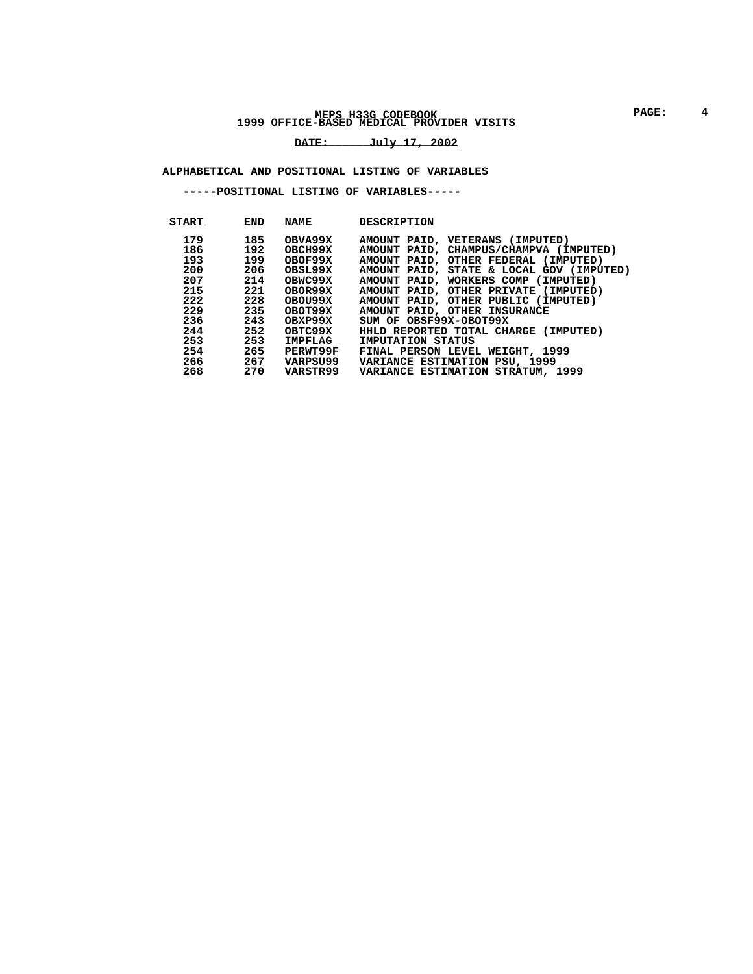#### **MEPS H33G CODEBOOK PAGE: 4 1999 OFFICE-BASED MEDICAL PROVIDER VISITS**

**DATE: July 17, 2002 \_\_\_\_\_\_\_\_\_\_\_\_\_\_\_\_\_\_\_\_\_\_\_\_**

#### **ALPHABETICAL AND POSITIONAL LISTING OF VARIABLES**

 **-----POSITIONAL LISTING OF VARIABLES-----** 

| START                                                                                                                                                                                                                                                                   | END                                                       | <b>NAME</b>                                                                                     | DESCRIPTION                                                                                                                                                                                                                                                                                                         |
|-------------------------------------------------------------------------------------------------------------------------------------------------------------------------------------------------------------------------------------------------------------------------|-----------------------------------------------------------|-------------------------------------------------------------------------------------------------|---------------------------------------------------------------------------------------------------------------------------------------------------------------------------------------------------------------------------------------------------------------------------------------------------------------------|
| 179<br>186 — 187<br>193 — 193<br>200 — 200 — 200 — 200 — 200 — 200 — 200 — 200 — 200 — 200 — 200 — 200 — 200 — 200 — 200 — 200 — 200 — 200 — 200 — 200 — 200 — 200 — 200 — 200 — 200 — 200 — 200 — 200 — 200 — 200 — 200 — 200 — 200 — 200 — 200 — 200 — 200 — 2<br>229 | 185<br>192<br>199<br>206<br>207 214<br>215 221<br>222 228 | OBVA99X<br>овсн99х<br>OBOF99X<br>OBSL99X<br><b>OBWC99X</b><br>OBOR99X<br>OBOU99X<br>235 ОВОТ99Х | AMOUNT PAID, VETERANS (IMPUTED)<br>AMOUNT PAID, CHAMPUS/CHAMPVA (IMPUTED)<br>AMOUNT PAID, OTHER FEDERAL (IMPUTED)<br>AMOUNT PAID, STATE & LOCAL GOV (IMPUTED)<br>AMOUNT PAID, WORKERS COMP (IMPUTED)<br>AMOUNT PAID, OTHER PRIVATE (IMPUTED)<br>AMOUNT PAID, OTHER PUBLIC (IMPUTED)<br>AMOUNT PAID, OTHER INSURANCE |
| 236 — 236<br>244 2012<br>268                                                                                                                                                                                                                                            | 243<br>252<br>253                                         | OBXP99X<br>OBTC99X<br>IMPFLAG<br>265 PERWT99F<br>266 267 VARPSU99<br>270 VARSTR99               | SUM OF OBSF99X-OBOT99X<br>HHLD REPORTED TOTAL CHARGE (IMPUTED)<br>IMPUTATION STATUS<br>FINAL PERSON LEVEL WEIGHT, 1999<br><b>VARIANCE ESTIMATION PSU, 1999</b><br>VARIANCE ESTIMATION STRATUM, 1999                                                                                                                 |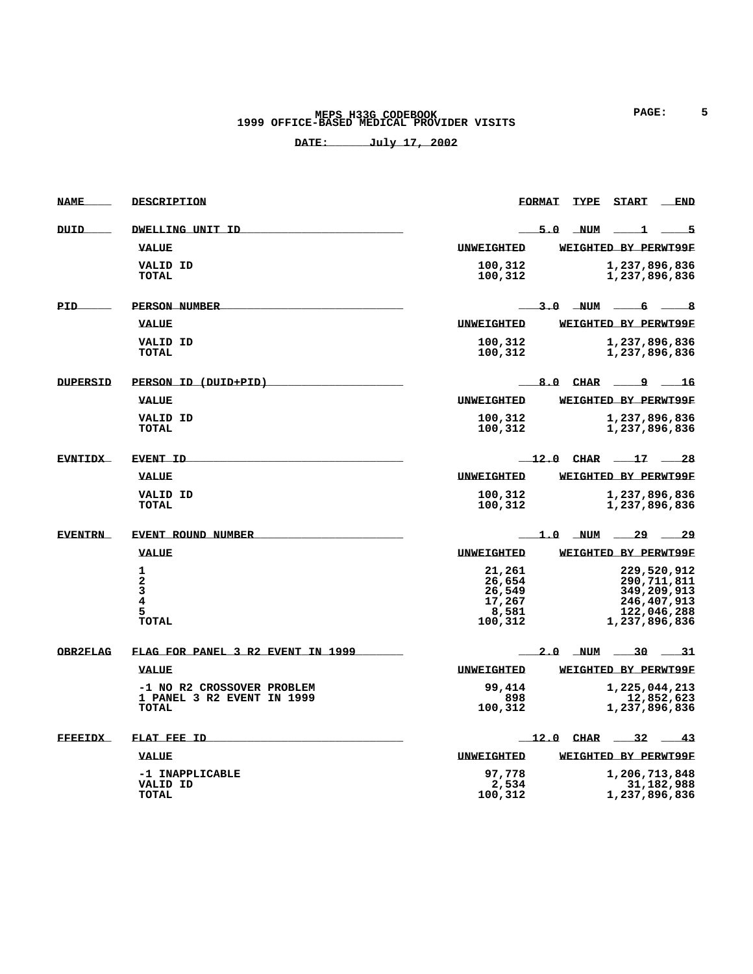# **MEPS H33G CODEBOOK PAGE: 5 1999 OFFICE-BASED MEDICAL PROVIDER VISITS**

| <b>NAME</b>     | DESCRIPTION                                                              |                                                          | <b>FORMAT</b> | <b>TYPE</b>    | <b>START</b>                   | <b>END</b>                                                              |
|-----------------|--------------------------------------------------------------------------|----------------------------------------------------------|---------------|----------------|--------------------------------|-------------------------------------------------------------------------|
| <b>DUID</b>     | DWELLING UNIT ID                                                         |                                                          | 5.0           | $\sqrt{N}$ NUM | 1                              | .5                                                                      |
|                 | <b>VALUE</b>                                                             | <b>UNWEIGHTED</b>                                        |               |                | WEIGHTED BY PERWT99F           |                                                                         |
|                 | <b>VALID ID</b><br>TOTAL                                                 | 100,312<br>100,312                                       |               |                | 1,237,896,836<br>1,237,896,836 |                                                                         |
| PID_            | PERSON NUMBER                                                            |                                                          | 3.0           | <b>NUM</b>     | 6.                             | -8                                                                      |
|                 | <b>VALUE</b>                                                             | <b>UNWEIGHTED</b>                                        |               |                | WEIGHTED BY PERWT99F           |                                                                         |
|                 | VALID ID<br><b>TOTAL</b>                                                 | 100,312<br>100,312                                       |               |                | 1,237,896,836<br>1,237,896,836 |                                                                         |
| <b>DUPERSID</b> | <u>PERSON ID (DUID+PID)</u>                                              |                                                          | 8.0           | <b>CHAR</b>    | 9                              | 16                                                                      |
|                 | VALUE                                                                    | UNWEIGHTED                                               |               |                | WEIGHTED BY PERWT99F           |                                                                         |
|                 | <b>VALID ID</b><br><b>TOTAL</b>                                          | 100,312<br>100,312                                       |               |                | 1,237,896,836<br>1,237,896,836 |                                                                         |
| <b>EVNTIDX</b>  | EVENT ID                                                                 |                                                          |               |                | $12.0$ CHAR $-17$ $-28$        |                                                                         |
|                 | <b>VALUE</b>                                                             | <b>UNWEIGHTED</b>                                        |               |                | WEIGHTED BY PERWT99F           |                                                                         |
|                 | <b>VALID ID</b><br>TOTAL                                                 | 100,312<br>100,312                                       |               |                | 1,237,896,836<br>1,237,896,836 |                                                                         |
| <b>EVENTRN</b>  | EVENT ROUND NUMBER                                                       |                                                          | 1.0           | NUM            | -29                            | -29                                                                     |
|                 | <b>VALUE</b>                                                             | <b>UNWEIGHTED</b>                                        |               |                | WEIGHTED BY PERWT99F           |                                                                         |
|                 | 1<br>$\overline{\mathbf{c}}$<br>3<br>4<br>5<br><b>TOTAL</b>              | 21,261<br>26,654<br>26,549<br>17,267<br>8,581<br>100,312 |               |                | 1,237,896,836                  | 229,520,912<br>290,711,811<br>349,209,913<br>246,407,913<br>122,046,288 |
| OBR2FLAG        | FLAG FOR PANEL 3 R2 EVENT IN 1999                                        |                                                          | 2.0           | NUM            | _30                            | _31                                                                     |
|                 | <b>VALUE</b>                                                             | <b>UNWEIGHTED</b>                                        |               |                | WEIGHTED BY PERWT99F           |                                                                         |
|                 | -1 NO R2 CROSSOVER PROBLEM<br>1 PANEL 3 R2 EVENT IN 1999<br><b>TOTAL</b> | 99,414<br>898<br>100,312                                 |               |                | 1,225,044,213<br>1,237,896,836 | 12,852,623                                                              |
| <b>FFEEIDX</b>  | FLAT FEE ID                                                              |                                                          |               | 12.0 CHAR _    | .32                            | 43                                                                      |
|                 | <b>VALUE</b>                                                             | <b>UNWEIGHTED</b>                                        |               |                | WEIGHTED BY PERWT99F           |                                                                         |
|                 | -1 INAPPLICABLE<br>VALID ID<br><b>TOTAL</b>                              | 97,778<br>2,534<br>100,312                               |               |                | 1,206,713,848<br>1,237,896,836 | 31,182,988                                                              |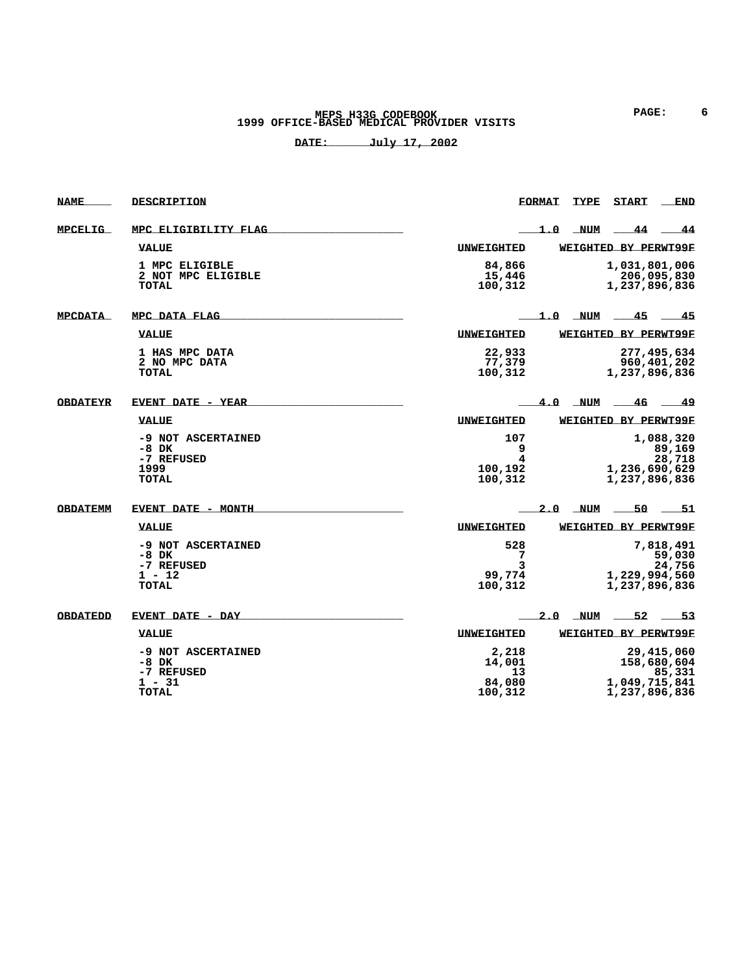## **MEPS H33G CODEBOOK PAGE: 6 1999 OFFICE-BASED MEDICAL PROVIDER VISITS**

| <b>NAME</b>     | DESCRIPTION                                                             |                                            | <b>FORMAT</b> | <b>TYPE</b>    | <b>START END</b>               |                                     |
|-----------------|-------------------------------------------------------------------------|--------------------------------------------|---------------|----------------|--------------------------------|-------------------------------------|
| <b>MPCELIG</b>  | MPC ELIGIBILITY FLAG                                                    |                                            |               | <u>1.0 NUM</u> | -44                            | -44                                 |
|                 | <b>VALUE</b>                                                            | <b>UNWEIGHTED</b>                          |               |                | WEIGHTED BY PERWT99F           |                                     |
|                 | 1 MPC ELIGIBLE<br>2 NOT MPC ELIGIBLE<br>TOTAL                           | 84,866<br>15,446<br>100,312                |               |                | 1,031,801,006<br>1,237,896,836 | 206,095,830                         |
| <b>MPCDATA</b>  | MPC DATA FLAG                                                           |                                            |               | $1.0$ NUM      | 45                             | 45                                  |
|                 | <b>VALUE</b>                                                            | <b>UNWEIGHTED</b>                          |               |                | WEIGHTED BY PERWT99F           |                                     |
|                 | 1 HAS MPC DATA<br>2 NO MPC DATA<br>TOTAL                                | 22,933<br>77,379<br>100,312                |               |                | 1,237,896,836                  | 277,495,634<br>960,401,202          |
| <b>OBDATEYR</b> | EVENT DATE - YEAR                                                       |                                            | 4.0           |                | $NUM$ 46                       | -49                                 |
|                 | <b>VALUE</b>                                                            | <b>UNWEIGHTED</b>                          |               |                | WEIGHTED BY PERWT99F           |                                     |
|                 | -9 NOT ASCERTAINED<br>-8 DK<br>-7 REFUSED<br>1999<br>TOTAL              | 107<br>9<br>4<br>100,192<br>100,312        |               |                | 1,236,690,629<br>1,237,896,836 | 1,088,320<br>89,169<br>28,718       |
| <b>OBDATEMM</b> | EVENT DATE - MONTH                                                      |                                            |               |                | $2.0$ NUM $\_50$ $\_51$        |                                     |
|                 | <b>VALUE</b>                                                            | <b>UNWEIGHTED</b>                          |               |                | WEIGHTED BY PERWT99F           |                                     |
|                 | -9 NOT ASCERTAINED<br>-8 DK<br>-7 REFUSED<br>$1 - 12$<br><b>TOTAL</b>   | 528<br>7<br>3<br>99,774<br>100,312         |               |                | 1,229,994,560<br>1,237,896,836 | 7,818,491<br>59,030<br>24,756       |
| OBDATEDD        | <u>EVENT DATE - DAY</u>                                                 |                                            | 2.0           | <b>NUM</b>     | $-52$                          | 53                                  |
|                 | <b>VALUE</b>                                                            | UNWEIGHTED                                 |               |                | WEIGHTED BY PERWT99F           |                                     |
|                 | -9 NOT ASCERTAINED<br>$-8$ DK<br>-7 REFUSED<br>$1 - 31$<br><b>TOTAL</b> | 2,218<br>14,001<br>13<br>84,080<br>100,312 |               |                | 1,049,715,841<br>1,237,896,836 | 29,415,060<br>158,680,604<br>85,331 |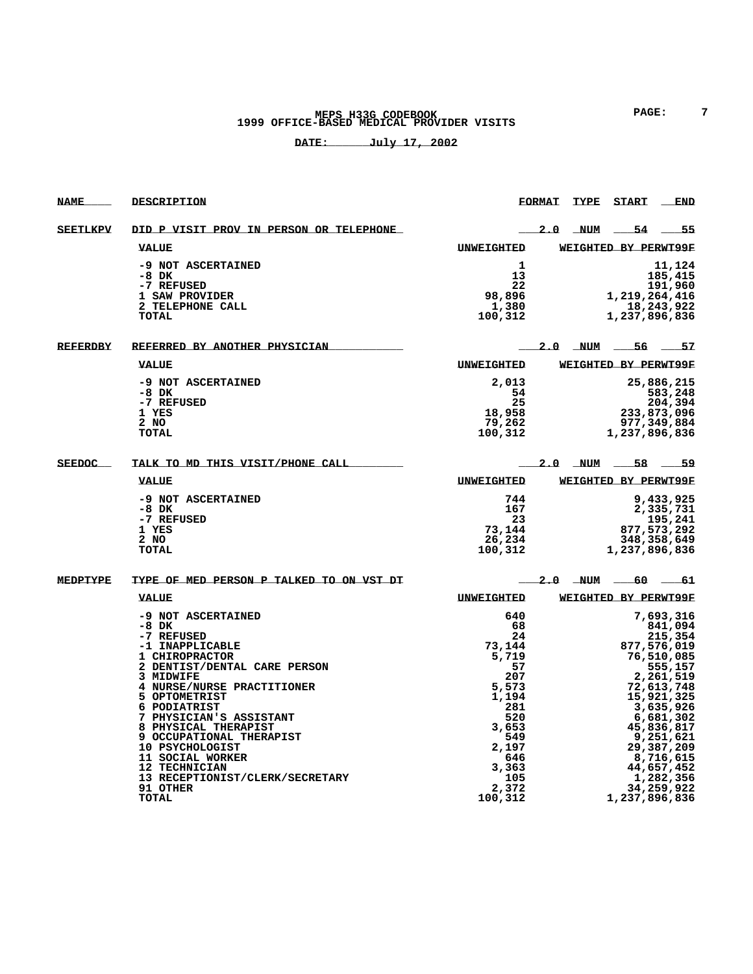#### **MEPS H33G CODEBOOK PAGE: 7 1999 OFFICE-BASED MEDICAL PROVIDER VISITS**

| <b>NAME</b>     | <b>DESCRIPTION</b>                       |                   | <b>FORMAT</b> | <b>TYPE</b>   | <u>START</u>         | <b>END</b>              |
|-----------------|------------------------------------------|-------------------|---------------|---------------|----------------------|-------------------------|
| SEETLKPV        | DID P VISIT PROV IN PERSON OR TELEPHONE  |                   | 2.0           | NUM           | 54                   | 55                      |
|                 | <b>VALUE</b>                             | <b>UNWEIGHTED</b> |               |               | WEIGHTED BY PERWT99F |                         |
|                 | -9 NOT ASCERTAINED                       | 1                 |               |               |                      | 11,124                  |
|                 | -8 DK                                    | 13                |               |               |                      | 185,415                 |
|                 | -7 REFUSED                               | 22                |               |               |                      | 191,960                 |
|                 | 1 SAW PROVIDER                           | 98,896            |               |               | 1,219,264,416        |                         |
|                 | 2 TELEPHONE CALL                         | 1,380             |               |               |                      | 18,243,922              |
|                 | TOTAL                                    | 100,312           |               |               | 1,237,896,836        |                         |
| <b>REFERDBY</b> | REFERRED BY ANOTHER PHYSICIAN            |                   |               |               | $2.0$ NUM $-56$      | $-52$                   |
|                 | <b>VALUE</b>                             | <b>UNWEIGHTED</b> |               |               | WEIGHTED BY PERWT99F |                         |
|                 | -9 NOT ASCERTAINED                       | 2,013             |               |               |                      | 25,886,215              |
|                 | $-8$ DK                                  | 54                |               |               |                      | 583,248                 |
|                 | -7 REFUSED                               | 25                |               |               |                      | 204,394                 |
|                 | 1 YES                                    | 18,958            |               |               |                      | 233,873,096             |
|                 | 2 NO                                     | 79,262            |               |               |                      | 977,349,884             |
|                 | TOTAL                                    | 100,312           |               |               | 1,237,896,836        |                         |
| SEEDOC          | TALK TO MD THIS VISIT/PHONE CALL         |                   |               |               | $2.0$ NUM $\_58$     | -59                     |
|                 | <b>VALUE</b>                             | <b>UNWEIGHTED</b> |               |               | WEIGHTED BY PERWT99F |                         |
|                 | -9 NOT ASCERTAINED                       | 744               |               |               |                      | 9,433,925               |
|                 | $-8$ DK                                  | 167               |               |               |                      | 2,335,731               |
|                 | -7 REFUSED                               | 23                |               |               |                      | 195,241                 |
|                 | 1 YES                                    | 73,144            |               |               |                      | 877,573,292             |
|                 | 2 NO                                     | 26,234            |               |               |                      | 348, 358, 649           |
|                 | TOTAL                                    | 100,312           |               |               | 1,237,896,836        |                         |
| MEDPTYPE        | TYPE OF MED PERSON P TALKED TO ON VST DT |                   |               | $2.0$ NUM $-$ | -60                  | -61                     |
|                 | <b>VALUE</b>                             | <b>UNWEIGHTED</b> |               |               | WEIGHTED BY PERWT99F |                         |
|                 | -9 NOT ASCERTAINED                       | 640               |               |               |                      | 7,693,316               |
|                 | $-8$ DK                                  | 68                |               |               |                      | 841,094                 |
|                 | -7 REFUSED                               | 24                |               |               |                      | 215,354                 |
|                 | -1 INAPPLICABLE                          | 73,144            |               |               |                      | 877,576,019             |
|                 | 1 CHIROPRACTOR                           | 5,719             |               |               |                      | 76,510,085              |
|                 | 2 DENTIST/DENTAL CARE PERSON             | 57                |               |               |                      | 555,157                 |
|                 | 3 MIDWIFE<br>4 NURSE/NURSE PRACTITIONER  | 207<br>5,573      |               |               |                      | 2,261,519<br>72,613,748 |
|                 | 5 OPTOMETRIST                            | 1,194             |               |               |                      | 15,921,325              |
|                 | 6 PODIATRIST                             | 281               |               |               |                      | 3,635,926               |
|                 | 7 PHYSICIAN'S ASSISTANT                  | 520               |               |               |                      | 6,681,302               |
|                 | 8 PHYSICAL THERAPIST                     | 3,653             |               |               |                      | 45,836,817              |
|                 | 9 OCCUPATIONAL THERAPIST                 | 549               |               |               |                      | 9,251,621               |
|                 | 10 PSYCHOLOGIST                          | 2,197             |               |               |                      | 29,387,209              |
|                 | 11 SOCIAL WORKER                         | 646               |               |               |                      | 8,716,615               |
|                 | 12 TECHNICIAN                            | 3,363             |               |               |                      | 44,657,452              |
|                 | 13 RECEPTIONIST/CLERK/SECRETARY          | 105               |               |               |                      | 1,282,356               |
|                 | 91 OTHER<br><b>TOTAL</b>                 | 2,372             |               |               | 1,237,896,836        | 34,259,922              |
|                 |                                          | 100,312           |               |               |                      |                         |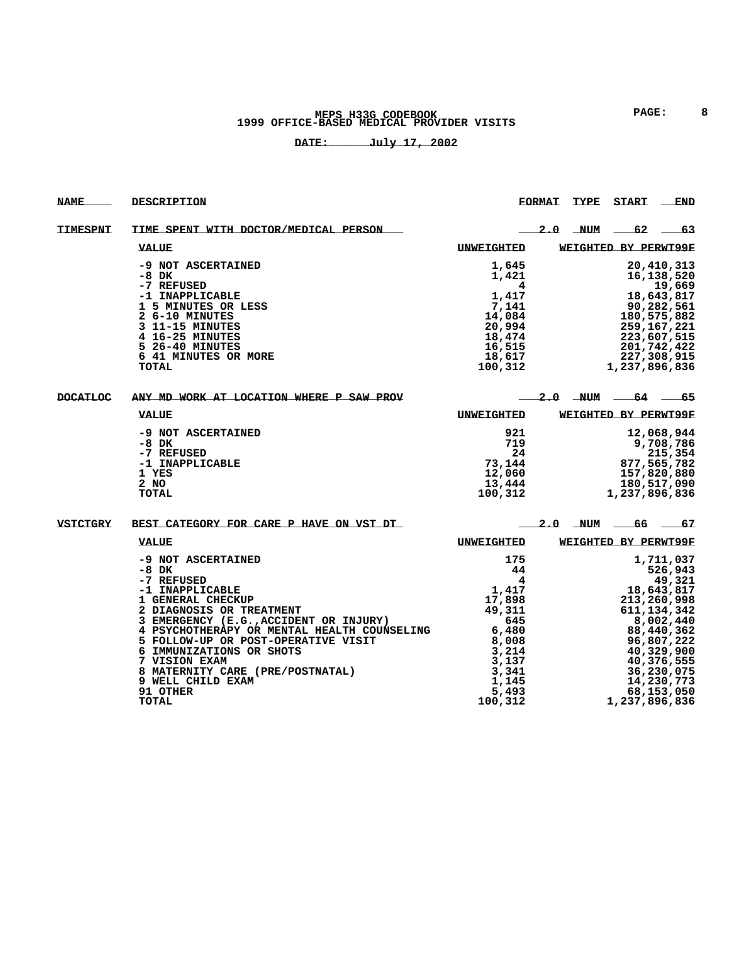#### **MEPS H33G CODEBOOK PAGE: 8 1999 OFFICE-BASED MEDICAL PROVIDER VISITS**

| <b>NAME</b>     | <b>DESCRIPTION</b>                                                                                                                                                                                                                                                                                                                                                                |                                                                                                                              | <b>FORMAT</b> | <b>TYPE</b> | <u>START</u>                      | END                                                                                                                                                                                         |
|-----------------|-----------------------------------------------------------------------------------------------------------------------------------------------------------------------------------------------------------------------------------------------------------------------------------------------------------------------------------------------------------------------------------|------------------------------------------------------------------------------------------------------------------------------|---------------|-------------|-----------------------------------|---------------------------------------------------------------------------------------------------------------------------------------------------------------------------------------------|
| TIMESPNT        | TIME SPENT WITH DOCTOR/MEDICAL PERSON                                                                                                                                                                                                                                                                                                                                             |                                                                                                                              | 2.0           | NUM         | 62                                | 63                                                                                                                                                                                          |
|                 | <b>VALUE</b>                                                                                                                                                                                                                                                                                                                                                                      | <b>UNWEIGHTED</b>                                                                                                            |               |             | WEIGHTED BY PERWT99F              |                                                                                                                                                                                             |
|                 | -9 NOT ASCERTAINED<br>-8 DK<br>-7 REFUSED<br>-1 INAPPLICABLE<br>1 5 MINUTES OR LESS<br>2 6-10 MINUTES<br>3 11-15 MINUTES<br>4 16-25 MINUTES<br>5 26-40 MINUTES<br>6 41 MINUTES OR MORE<br>TOTAL                                                                                                                                                                                   | 1,645<br>1,421<br>4<br>1,417<br>7,141<br>14,084<br>20,994<br>18,474<br>16,515<br>18,617<br>100,312                           |               |             | 1,237,896,836                     | 20,410,313<br>16,138,520<br>19,669<br>18,643,817<br>90,282,561<br>180,575,882<br>259,167,221<br>223,607,515<br>201,742,422<br>227,308,915                                                   |
| <b>DOCATLOC</b> | ANY MD WORK AT LOCATION WHERE P SAW PROV<br><b>VALUE</b>                                                                                                                                                                                                                                                                                                                          | <b>UNWEIGHTED</b>                                                                                                            |               | $2.0$ NUM   | $-64 -65$<br>WEIGHTED BY PERWT99F |                                                                                                                                                                                             |
|                 | -9 NOT ASCERTAINED<br>-8 DK<br>-7 REFUSED<br>-1 INAPPLICABLE<br>1 YES<br>2 NO<br>TOTAL                                                                                                                                                                                                                                                                                            | 921<br>719<br>24<br>73,144<br>12,060<br>13,444<br>100,312                                                                    |               |             | 1,237,896,836                     | 12,068,944<br>9,708,786<br>215,354<br>877,565,782<br>157,820,880<br>180,517,090                                                                                                             |
| <b>VSTCTGRY</b> | BEST CATEGORY FOR CARE P HAVE ON VST DT<br><b>VALUE</b>                                                                                                                                                                                                                                                                                                                           | <b>UNWEIGHTED</b>                                                                                                            | 2.0           | NUM         | -66<br>WEIGHTED BY PERWT99F       | $-67$                                                                                                                                                                                       |
|                 | -9 NOT ASCERTAINED<br>$-8$ DK<br>-7 REFUSED<br>-1 INAPPLICABLE<br>1 GENERAL CHECKUP<br>2 DIAGNOSIS OR TREATMENT<br>3 EMERGENCY (E.G., ACCIDENT OR INJURY)<br>4 PSYCHOTHERAPY OR MENTAL HEALTH COUNSELING<br>5 FOLLOW-UP OR POST-OPERATIVE VISIT<br>6 IMMUNIZATIONS OR SHOTS<br>7 VISION EXAM<br>8 MATERNITY CARE (PRE/POSTNATAL)<br>9 WELL CHILD EXAM<br>91 OTHER<br><b>TOTAL</b> | 175<br>44<br>4<br>1,417<br>17,898<br>49,311<br>645<br>6,480<br>8,008<br>3,214<br>3,137<br>3,341<br>1,145<br>5,493<br>100,312 |               |             | 1,237,896,836                     | 1,711,037<br>526,943<br>49,321<br>18,643,817<br>213,260,998<br>611, 134, 342<br>8,002,440<br>88,440,362<br>96,807,222<br>40,329,900<br>40,376,555<br>36,230,075<br>14,230,773<br>68,153,050 |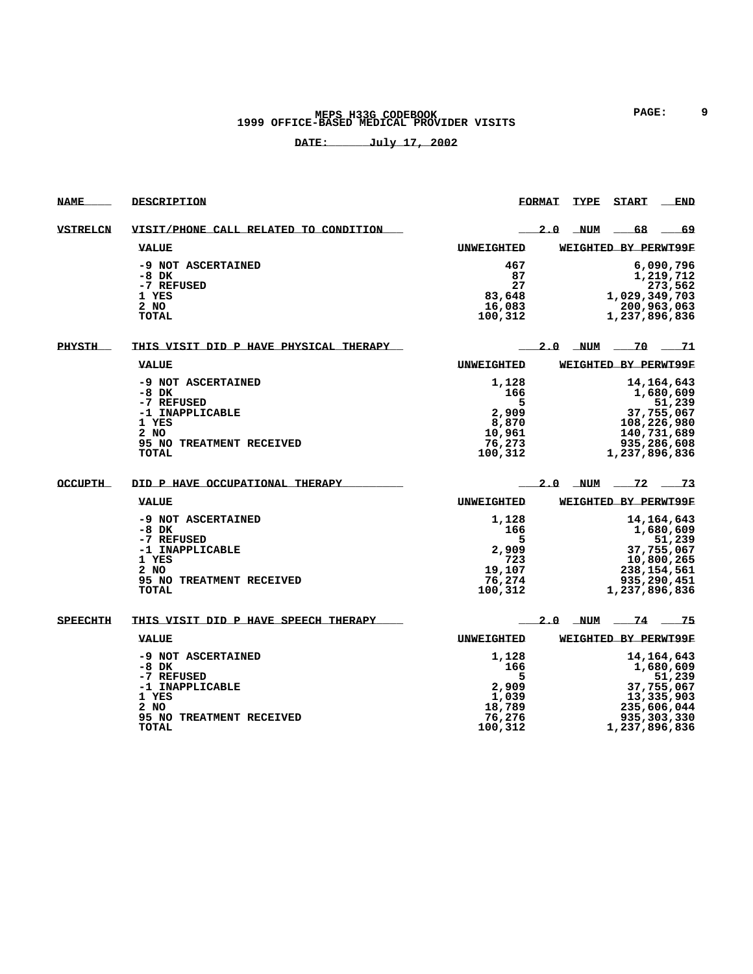## **MEPS H33G CODEBOOK PAGE: 9 1999 OFFICE-BASED MEDICAL PROVIDER VISITS**

| <b>NAME</b>     | <b>DESCRIPTION</b>                              |                    | <b>FORMAT</b> | TYPE    | <b>START</b>          | <b>END</b>                   |
|-----------------|-------------------------------------------------|--------------------|---------------|---------|-----------------------|------------------------------|
| <b>VSTRELCN</b> | VISIT/PHONE CALL RELATED TO CONDITION           |                    | 2.0           | NUM     | 68                    | -69                          |
|                 | <b>VALUE</b>                                    | <b>UNWEIGHTED</b>  |               |         | WEIGHTED BY PERWT99F  |                              |
|                 | -9 NOT ASCERTAINED<br>-8 DK                     | 467<br>87          |               |         |                       | 6,090,796<br>1,219,712       |
|                 | -7 REFUSED                                      | 27                 |               |         |                       | 273,562                      |
|                 | 1 YES<br>2 NO                                   | 83,648<br>16,083   |               |         | 1,029,349,703         | 200,963,063                  |
|                 | TOTAL                                           | 100,312            |               |         | 1,237,896,836         |                              |
| <b>PHYSTH</b>   | THIS VISIT DID P HAVE PHYSICAL THERAPY          |                    | 2.0           |         | _NUM ______70         | -71                          |
|                 | <b>VALUE</b>                                    | <b>UNWEIGHTED</b>  |               |         | WEIGHTED BY PERWT99F  |                              |
|                 | -9 NOT ASCERTAINED                              | 1,128              |               |         |                       | 14, 164, 643                 |
|                 | $-8$ DK                                         | 166                |               |         |                       | 1,680,609                    |
|                 | -7 REFUSED                                      | 5                  |               |         |                       | 51,239                       |
|                 | -1 INAPPLICABLE<br>1 YES                        | 2,909              |               |         |                       | 37,755,067                   |
|                 | 2 NO                                            | 8,870<br>10,961    |               |         |                       | 108,226,980<br>140,731,689   |
|                 | 95 NO TREATMENT RECEIVED                        | 76,273             |               |         |                       | 935,286,608                  |
|                 | TOTAL                                           | 100,312            |               |         | 1,237,896,836         |                              |
| <b>OCCUPTH</b>  | DID P HAVE OCCUPATIONAL THERAPY                 |                    | $2\Omega$     | N I I M | $-72$                 | 73                           |
|                 | <b>VALUE</b>                                    | <b>IINWEIGHTED</b> |               |         | WEIGHTED BY PERWT99F  |                              |
|                 | -9 NOT ASCERTAINED                              | 1,128              |               |         |                       | 14, 164, 643                 |
|                 | -8 DK                                           | 166                |               |         |                       | 1,680,609                    |
|                 | -7 REFUSED                                      | 5                  |               |         |                       | 51,239                       |
|                 | -1 INAPPLICABLE                                 | 2,909              |               |         |                       | 37,755,067                   |
|                 | 1 YES                                           | 723                |               |         |                       | 10,800,265                   |
|                 | 2 NO<br>95 NO TREATMENT RECEIVED                | 19,107<br>76,274   |               |         |                       | 238, 154, 561<br>935,290,451 |
|                 | <b>TOTAL</b>                                    | 100,312            |               |         | 1,237,896,836         |                              |
| <b>SPEECHTH</b> | THIS VISIT DID P HAVE SPEECH THERAPY            |                    |               |         | $2.0$ NUM $-74$ $-75$ |                              |
|                 | <b>VALUE</b>                                    | <b>UNWEIGHTED</b>  |               |         | WEIGHTED BY PERWT99F  |                              |
|                 | -9 NOT ASCERTAINED                              | 1,128              |               |         |                       | 14, 164, 643                 |
|                 | -8 DK                                           | 166                |               |         |                       | 1,680,609                    |
|                 | -7 REFUSED                                      | 5                  |               |         |                       | 51,239                       |
|                 | -1 INAPPLICABLE                                 | 2,909              |               |         |                       | 37,755,067                   |
|                 | 1 YES                                           | 1,039              |               |         |                       | 13,335,903                   |
|                 | 2 NO                                            | 18,789             |               |         |                       | 235,606,044                  |
|                 | <b>95 NO TREATMENT RECEIVED</b><br><b>TOTAL</b> | 76,276<br>100,312  |               |         | 1,237,896,836         | 935,303,330                  |
|                 |                                                 |                    |               |         |                       |                              |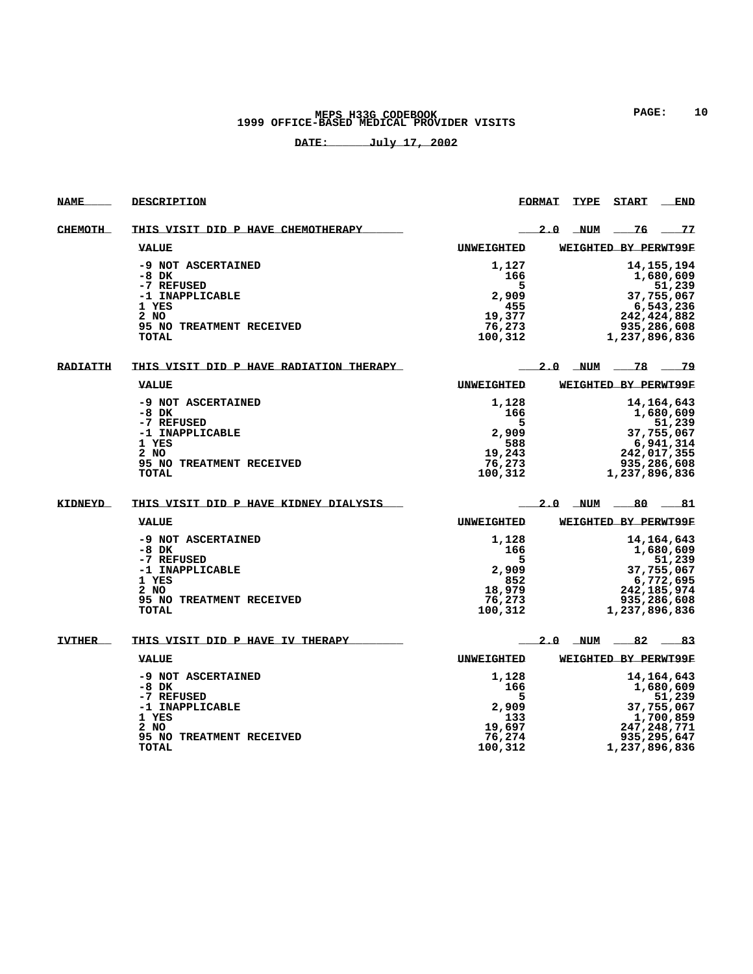### **MEPS H33G CODEBOOK PAGE: 10 1999 OFFICE-BASED MEDICAL PROVIDER VISITS**

| <b>NAME</b>    | <b>DESCRIPTION</b>                             |                   | <b>FORMAT</b> | TYPE         | START                | END           |
|----------------|------------------------------------------------|-------------------|---------------|--------------|----------------------|---------------|
| <b>CHEMOTH</b> | THIS VISIT DID P HAVE CHEMOTHERAPY             |                   |               | 2.0 NUM      | $-76$ $-77$          |               |
|                | <b>VALUE</b>                                   | <b>UNWEIGHTED</b> |               |              | WEIGHTED BY PERWT99F |               |
|                | -9 NOT ASCERTAINED                             | 1,127             |               |              |                      | 14, 155, 194  |
|                | $-8$ DK                                        | 166               |               |              |                      | 1,680,609     |
|                | -7 REFUSED                                     | 5                 |               |              |                      | 51,239        |
|                | -1 INAPPLICABLE                                | 2,909             |               |              |                      | 37,755,067    |
|                | 1 YES                                          | 455               |               |              |                      | 6,543,236     |
|                | 2 NO                                           | 19,377            |               |              |                      | 242,424,882   |
|                | 95 NO TREATMENT RECEIVED                       | 76,273            |               |              |                      | 935,286,608   |
|                | <b>TOTAL</b>                                   | 100,312           |               |              | 1,237,896,836        |               |
| RADIATTH       | <u>THIS VISIT DID P HAVE RADIATION THERAPY</u> |                   | 2.0           | $\sqrt{NUM}$ | 78                   | -79           |
|                | <b>VALUE</b>                                   | <b>UNWEIGHTED</b> |               |              | WEIGHTED BY PERWT99F |               |
|                | -9 NOT ASCERTAINED                             | 1,128             |               |              |                      | 14, 164, 643  |
|                | -8 DK                                          | 166               |               |              |                      | 1,680,609     |
|                | -7 REFUSED                                     | 5                 |               |              |                      | 51,239        |
|                | -1 INAPPLICABLE                                | 2,909             |               |              |                      | 37,755,067    |
|                | 1 YES                                          | 588               |               |              |                      | 6,941,314     |
|                | 2 NO                                           | 19,243            |               |              |                      | 242,017,355   |
|                | 95 NO TREATMENT RECEIVED                       | 76,273            |               |              |                      | 935,286,608   |
|                | <b>TOTAL</b>                                   | 100,312           |               |              | 1,237,896,836        |               |
| KIDNEYD        | THIS VISIT DID P HAVE KIDNEY DIALYSIS          |                   | 2.0           | NUM          |                      | 81            |
|                | <b>VALUE</b>                                   | <b>UNWEIGHTED</b> |               |              | WEIGHTED BY PERWT99F |               |
|                | -9 NOT ASCERTAINED                             | 1,128             |               |              |                      | 14, 164, 643  |
|                | -8 DK                                          | 166               |               |              |                      | 1,680,609     |
|                | -7 REFUSED                                     | 5                 |               |              |                      | 51,239        |
|                | -1 INAPPLICABLE                                | 2,909             |               |              |                      | 37,755,067    |
|                | 1 YES                                          | 852               |               |              |                      | 6,772,695     |
|                | $2$ NO                                         | 18,979            |               |              |                      | 242, 185, 974 |
|                | 95 NO TREATMENT RECEIVED                       | 76,273            |               |              |                      | 935,286,608   |
|                | <b>TOTAL</b>                                   | 100,312           |               |              | 1,237,896,836        |               |
| <b>IVTHER</b>  | THIS VISIT DID P HAVE IV THERAPY               |                   |               | $2.0$ NUM    | 82                   | -83           |
|                | <b>VALUE</b>                                   | <b>UNWEIGHTED</b> |               |              | WEIGHTED BY PERWT99F |               |
|                | -9 NOT ASCERTAINED                             | 1,128             |               |              |                      | 14, 164, 643  |
|                | $-8$ DK                                        | 166               |               |              |                      | 1,680,609     |
|                | -7 REFUSED                                     | 5                 |               |              |                      | 51,239        |
|                | -1 INAPPLICABLE                                | 2,909             |               |              |                      | 37,755,067    |
|                | 1 YES                                          | 133               |               |              |                      | 1,700,859     |
|                | 2 NO                                           | 19,697            |               |              |                      | 247, 248, 771 |
|                | 95 NO TREATMENT RECEIVED                       | 76,274            |               |              |                      | 935,295,647   |
|                | <b>TOTAL</b>                                   | 100,312           |               |              | 1,237,896,836        |               |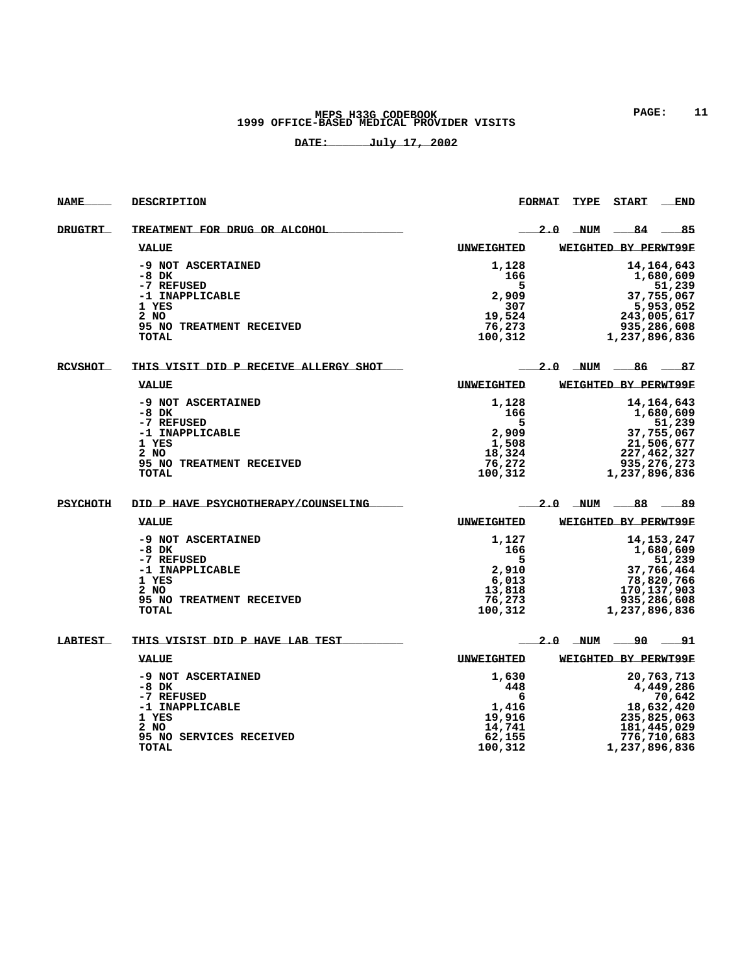## **MEPS H33G CODEBOOK PAGE: 11 1999 OFFICE-BASED MEDICAL PROVIDER VISITS**

| <b>NAME</b>     | <b>DESCRIPTION</b>                     |                   | <b>FORMAT</b> | <b>TYPE</b> | <b>START</b>         | END           |
|-----------------|----------------------------------------|-------------------|---------------|-------------|----------------------|---------------|
| <b>DRUGTRT</b>  | TREATMENT FOR DRUG OR ALCOHOL          |                   | 2.0           | NUM         | 84                   | 85            |
|                 | <b>VALUE</b>                           | <b>UNWEIGHTED</b> |               |             | WEIGHTED BY PERWT99F |               |
|                 | -9 NOT ASCERTAINED                     | 1,128             |               |             |                      | 14,164,643    |
|                 | $-8$ DK                                | 166               |               |             |                      | 1,680,609     |
|                 | -7 REFUSED                             | 5                 |               |             |                      | 51,239        |
|                 | -1 INAPPLICABLE                        | 2,909             |               |             |                      | 37,755,067    |
|                 | 1 YES                                  | 307               |               |             |                      | 5,953,052     |
|                 | $2$ NO                                 | 19,524            |               |             |                      | 243,005,617   |
|                 | 95 NO TREATMENT RECEIVED               | 76,273            |               |             |                      | 935,286,608   |
|                 | TOTAL                                  | 100,312           |               |             | 1,237,896,836        |               |
| <b>RCVSHOT</b>  | THIS VISIT DID P RECEIVE ALLERGY SHOT  |                   |               |             | $2.0$ NUM $-86$      | -87           |
|                 | <b>VALUE</b>                           | <b>UNWEIGHTED</b> |               |             | WEIGHTED BY PERWT99F |               |
|                 |                                        |                   |               |             |                      |               |
|                 | -9 NOT ASCERTAINED                     | 1,128             |               |             |                      | 14, 164, 643  |
|                 | -8 DK                                  | 166               |               |             |                      | 1,680,609     |
|                 | -7 REFUSED                             | 5                 |               |             |                      | 51,239        |
|                 | -1 INAPPLICABLE                        | 2,909             |               |             |                      | 37,755,067    |
|                 | 1 YES                                  | 1,508             |               |             |                      | 21,506,677    |
|                 | 2 NO                                   | 18,324            |               |             |                      | 227,462,327   |
|                 | 95 NO TREATMENT RECEIVED               | 76,272            |               |             |                      | 935,276,273   |
|                 | TOTAL                                  | 100,312           |               |             | 1,237,896,836        |               |
| <b>PSYCHOTH</b> | DID P HAVE PSYCHOTHERAPY/COUNSELING    |                   | 2.0           | NUM         | 88                   | -89           |
|                 | <b>VALUE</b>                           | <b>UNWEIGHTED</b> |               |             | WEIGHTED BY PERWT99F |               |
|                 | -9 NOT ASCERTAINED                     | 1,127             |               |             |                      | 14, 153, 247  |
|                 | -8 DK                                  | 166               |               |             |                      | 1,680,609     |
|                 | -7 REFUSED                             | 5                 |               |             |                      | 51,239        |
|                 | -1 INAPPLICABLE                        | 2,910             |               |             |                      | 37,766,464    |
|                 | 1 YES                                  | 6,013             |               |             |                      | 78,820,766    |
|                 | 2 NO                                   | 13,818            |               |             |                      | 170, 137, 903 |
|                 | 95 NO TREATMENT RECEIVED               |                   |               |             |                      |               |
|                 |                                        | 76,273            |               |             |                      | 935,286,608   |
|                 | TOTAL                                  | 100,312           |               |             | 1,237,896,836        |               |
| <b>LABTEST</b>  | <u>THIS VISIST DID P HAVE LAB TEST</u> |                   | 2.0           | NUM         | _90                  | - 91          |
|                 | <b>VALUE</b>                           | <b>UNWEIGHTED</b> |               |             | WEIGHTED BY PERWT99F |               |
|                 | -9 NOT ASCERTAINED                     | 1,630             |               |             |                      | 20,763,713    |
|                 | -8 DK                                  | 448               |               |             |                      | 4,449,286     |
|                 | -7 REFUSED                             | 6                 |               |             |                      | 70,642        |
|                 | -1 INAPPLICABLE                        | 1,416             |               |             |                      | 18,632,420    |
|                 | 1 YES                                  | 19,916            |               |             |                      | 235,825,063   |
|                 | 2 NO                                   | 14,741            |               |             |                      | 181,445,029   |
|                 | <b>95 NO SERVICES RECEIVED</b>         | 62,155            |               |             |                      | 776,710,683   |
|                 | TOTAL                                  | 100,312           |               |             | 1,237,896,836        |               |
|                 |                                        |                   |               |             |                      |               |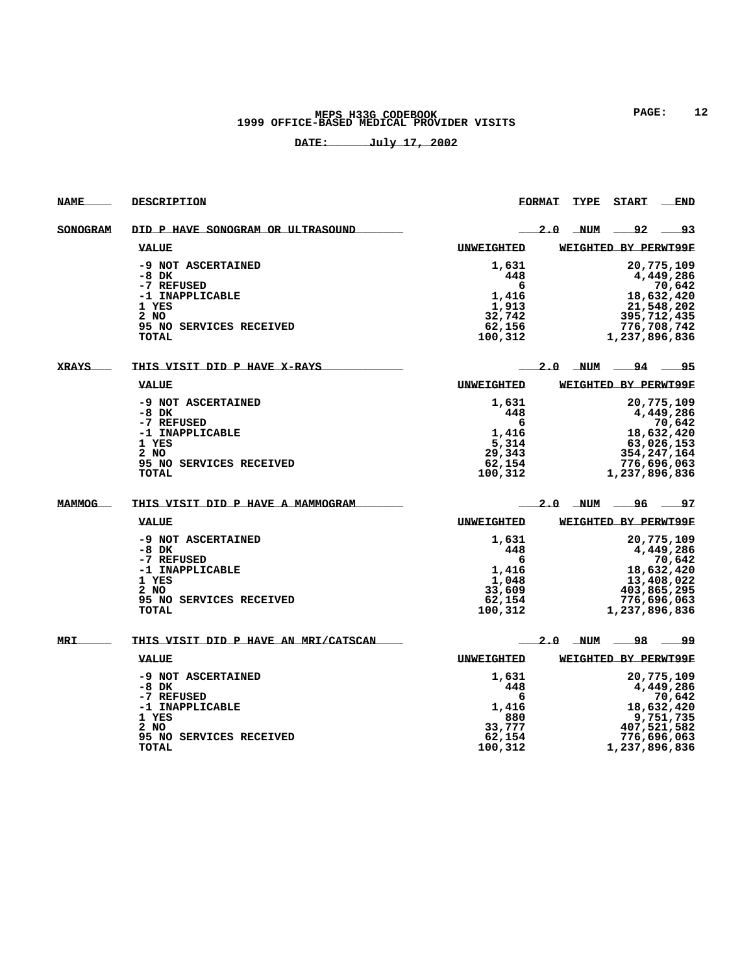### **MEPS H33G CODEBOOK PAGE: 12 1999 OFFICE-BASED MEDICAL PROVIDER VISITS**

| <b>NAME</b>   | DESCRIPTION                                 |                   | <b>FORMAT</b> | <b>TYPE</b> | <b>START</b>         | END         |
|---------------|---------------------------------------------|-------------------|---------------|-------------|----------------------|-------------|
| SONOGRAM      | DID P HAVE SONOGRAM OR ULTRASOUND           |                   | 2.0           | _NUM        | 92.                  | 93          |
|               | <b>VALUE</b>                                | <b>UNWEIGHTED</b> |               |             | WEIGHTED BY PERWT99F |             |
|               | -9 NOT ASCERTAINED                          | 1,631             |               |             |                      | 20,775,109  |
|               | -8 DK                                       | 448               |               |             |                      | 4,449,286   |
|               | -7 REFUSED                                  | 6                 |               |             |                      | 70,642      |
|               | -1 INAPPLICABLE                             | 1,416             |               |             |                      | 18,632,420  |
|               | 1 YES                                       | 1,913             |               |             |                      | 21,548,202  |
|               | 2 NO                                        | 32,742            |               |             |                      | 395,712,435 |
|               |                                             |                   |               |             |                      |             |
|               | 95 NO SERVICES RECEIVED<br>TOTAL            | 62,156<br>100,312 |               |             | 1,237,896,836        | 776,708,742 |
| <b>XRAYS</b>  | <u>THIS VISIT DID P HAVE X-RAYS</u>         |                   | 2.0           | NUM         | 94                   | 95          |
|               | <b>VALUE</b>                                | UNWEIGHTED        |               |             | WEIGHTED BY PERWT99F |             |
|               |                                             |                   |               |             |                      |             |
|               | -9 NOT ASCERTAINED                          | 1,631             |               |             |                      | 20,775,109  |
|               | -8 DK                                       | 448               |               |             |                      | 4,449,286   |
|               | -7 REFUSED                                  | 6                 |               |             |                      | 70,642      |
|               | -1 INAPPLICABLE                             | 1,416             |               |             |                      | 18,632,420  |
|               | 1 YES                                       | 5,314             |               |             |                      | 63,026,153  |
|               | 2 NO                                        | 29,343            |               |             |                      | 354,247,164 |
|               | 95 NO SERVICES RECEIVED                     | 62,154            |               |             |                      | 776,696,063 |
|               | <b>TOTAL</b>                                | 100,312           |               |             | 1,237,896,836        |             |
| <b>MAMMOG</b> | THIS VISIT DID P HAVE A MAMMOGRAM           |                   | 2.0           | _NUM        | ___96                | - 97        |
|               | <b>VALUE</b>                                | <b>UNWEIGHTED</b> |               |             | WEIGHTED BY PERWT99F |             |
|               | -9 NOT ASCERTAINED                          | 1,631             |               |             |                      | 20,775,109  |
|               | -8 DK                                       | 448               |               |             |                      | 4,449,286   |
|               | -7 REFUSED                                  | 6                 |               |             |                      | 70,642      |
|               | -1 INAPPLICABLE                             | 1,416             |               |             |                      | 18,632,420  |
|               | 1 YES                                       | 1,048             |               |             |                      | 13,408,022  |
|               | $2$ NO                                      | 33,609            |               |             |                      | 403,865,295 |
|               | 95 NO SERVICES RECEIVED                     | 62,154            |               |             |                      | 776,696,063 |
|               | TOTAL                                       | 100,312           |               |             | 1,237,896,836        |             |
| MRI           | <u>THIS VISIT DID P HAVE AN MRI/CATSCAN</u> |                   | 2.0           | NUM         | <u>98</u>            | 99          |
|               | <b>VALUE</b>                                | <b>UNWEIGHTED</b> |               |             | WEIGHTED BY PERWT99F |             |
|               | -9 NOT ASCERTAINED                          | 1,631             |               |             |                      | 20,775,109  |
|               | -8 DK                                       | 448               |               |             |                      | 4,449,286   |
|               | -7 REFUSED                                  | 6                 |               |             |                      | 70,642      |
|               | -1 INAPPLICABLE                             | 1,416             |               |             |                      | 18,632,420  |
|               | 1 YES                                       | 880               |               |             |                      | 9,751,735   |
|               | 2 NO                                        | 33,777            |               |             |                      | 407,521,582 |
|               | 95 NO SERVICES RECEIVED                     | 62,154            |               |             |                      | 776,696,063 |
|               | <b>TOTAL</b>                                | 100,312           |               |             | 1,237,896,836        |             |
|               |                                             |                   |               |             |                      |             |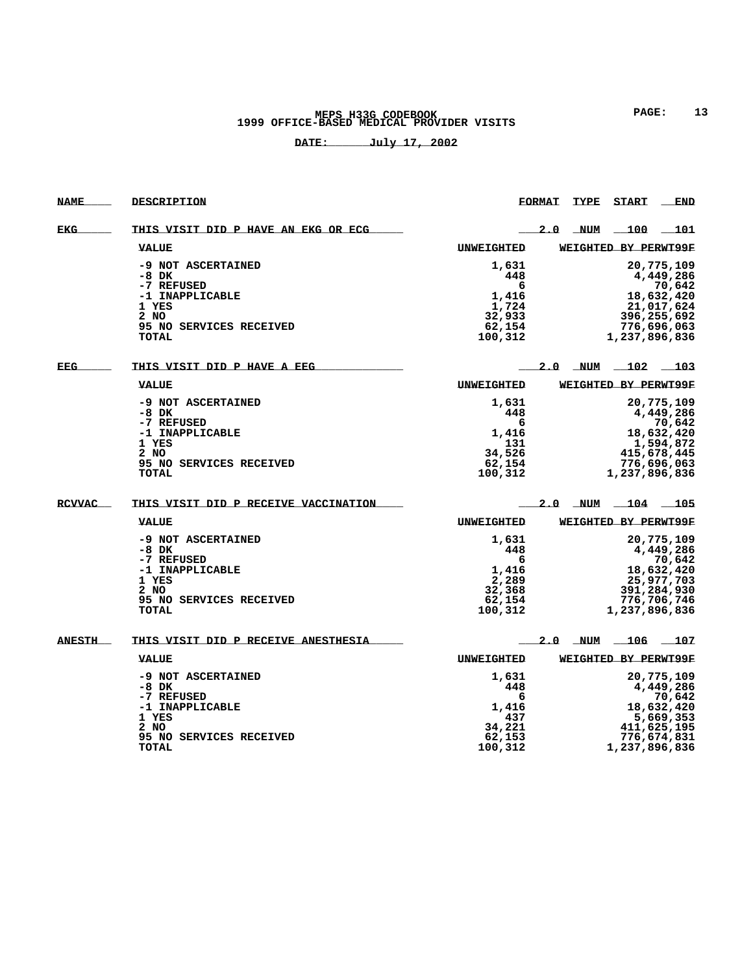### **MEPS H33G CODEBOOK PAGE: 13 1999 OFFICE-BASED MEDICAL PROVIDER VISITS**

| <b>NAME</b>   | <b>DESCRIPTION</b>                          |                   | <b>FORMAT</b> | <b>TYPE</b> | START                | END                 |
|---------------|---------------------------------------------|-------------------|---------------|-------------|----------------------|---------------------|
| EKG.          | THIS VISIT DID P HAVE AN EKG OR ECG         |                   | 2.0           | NUM         | $\_\,100$            | 101                 |
|               | <b>VALUE</b>                                | <b>UNWEIGHTED</b> |               |             | WEIGHTED BY PERWT99F |                     |
|               | -9 NOT ASCERTAINED                          | 1,631             |               |             |                      | 20,775,109          |
|               | $-8$ DK                                     | 448               |               |             |                      | 4,449,286           |
|               | -7 REFUSED                                  | 6                 |               |             |                      | 70,642              |
|               | -1 INAPPLICABLE                             | 1,416             |               |             |                      | 18,632,420          |
|               | 1 YES                                       | 1,724             |               |             |                      | 21,017,624          |
|               | 2 NO                                        | 32,933            |               |             |                      | 396,255,692         |
|               | 95 NO SERVICES RECEIVED                     | 62,154            |               |             |                      | 776,696,063         |
|               | TOTAL                                       | 100,312           |               |             | 1,237,896,836        |                     |
| EEG_          | THIS VISIT DID P HAVE A EEG                 |                   | 2.0           |             | NUM 102 103          |                     |
|               | <b>VALUE</b>                                | <b>UNWEIGHTED</b> |               |             | WEIGHTED BY PERWT99F |                     |
|               | -9 NOT ASCERTAINED                          | 1,631             |               |             |                      | 20,775,109          |
|               | -8 DK                                       | 448               |               |             |                      | 4,449,286           |
|               | -7 REFUSED                                  | 6                 |               |             |                      | 70,642              |
|               | -1 INAPPLICABLE                             | 1,416             |               |             |                      | 18,632,420          |
|               | 1 YES                                       | 131               |               |             |                      | 1,594,872           |
|               | 2 NO                                        | 34,526            |               |             |                      | 415,678,445         |
|               | 95 NO SERVICES RECEIVED                     | 62,154            |               |             |                      | 776,696,063         |
|               | TOTAL                                       | 100,312           |               |             | 1,237,896,836        |                     |
| <u>RCVVAC</u> | <u>THIS VISIT DID P RECEIVE VACCINATION</u> |                   | 2.0           | _NUM        | $-104$               | $-105$              |
|               | <b>VALUE</b>                                | <b>UNWEIGHTED</b> |               |             | WEIGHTED BY PERWT99F |                     |
|               | -9 NOT ASCERTAINED                          | 1,631             |               |             |                      | 20,775,109          |
|               | -8 DK                                       | 448               |               |             |                      | 4,449,286           |
|               | -7 REFUSED                                  | 6                 |               |             |                      | 70,642              |
|               | -1 INAPPLICABLE                             | 1,416             |               |             |                      | 18,632,420          |
|               | 1 YES                                       | 2,289             |               |             |                      | 25,977,703          |
|               | 2 NO                                        | 32,368            |               |             |                      | 391,284,930         |
|               | 95 NO SERVICES RECEIVED                     | 62,154            |               |             |                      | 776,706,746         |
|               | <b>TOTAL</b>                                | 100,312           |               |             | 1,237,896,836        |                     |
| <b>ANESTH</b> | THIS VISIT DID P RECEIVE ANESTHESIA         |                   | 2.0           | NUM         |                      | <u> 106     107</u> |
|               | <b>VALUE</b>                                | <b>UNWEIGHTED</b> |               |             | WEIGHTED BY PERWT99F |                     |
|               | -9 NOT ASCERTAINED                          | 1,631             |               |             |                      | 20,775,109          |
|               | -8 DK                                       | 448               |               |             |                      | 4,449,286           |
|               | -7 REFUSED                                  | 6                 |               |             |                      | 70,642              |
|               | -1 INAPPLICABLE                             | 1,416             |               |             |                      | 18,632,420          |
|               | 1 YES                                       | 437               |               |             |                      | 5,669,353           |
|               | 2 NO                                        | 34,221            |               |             |                      | 411,625,195         |
|               | 95 NO SERVICES RECEIVED                     | 62,153            |               |             |                      | 776,674,831         |
|               | <b>TOTAL</b>                                | 100,312           |               |             | 1,237,896,836        |                     |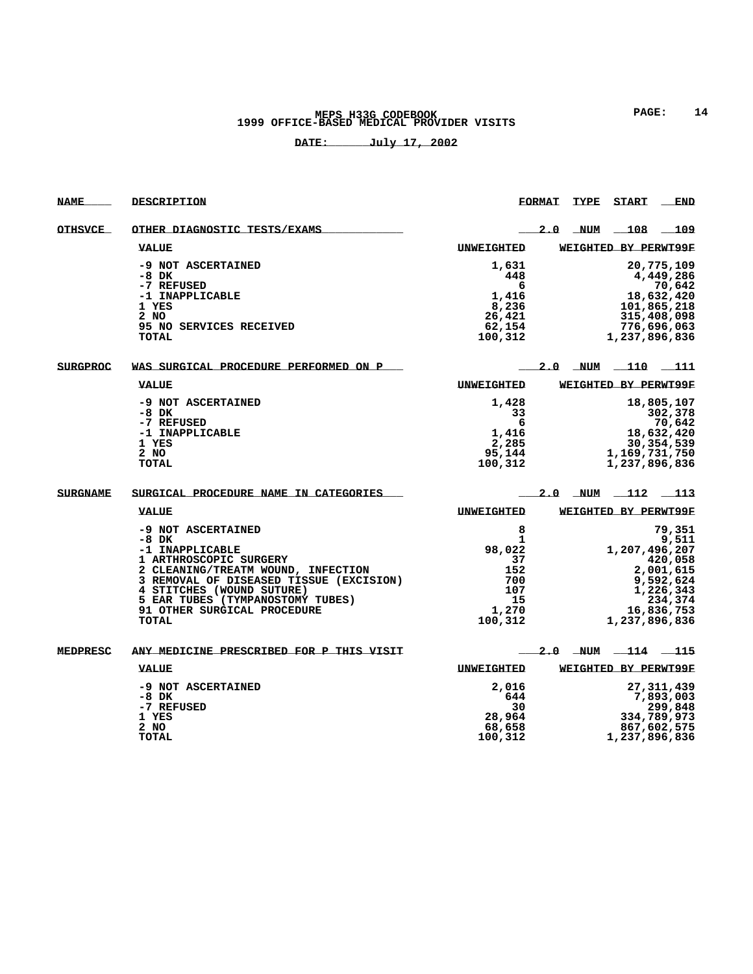## **MEPS H33G CODEBOOK PAGE: 14 1999 OFFICE-BASED MEDICAL PROVIDER VISITS**

| <b>NAME</b>     | <b>DESCRIPTION</b>                                                                                                                                                                                                                                                 |                                                                        | <b>FORMAT</b> | <b>TYPE</b> | <b>START</b>                          | END                                                                                          |
|-----------------|--------------------------------------------------------------------------------------------------------------------------------------------------------------------------------------------------------------------------------------------------------------------|------------------------------------------------------------------------|---------------|-------------|---------------------------------------|----------------------------------------------------------------------------------------------|
| <b>OTHSVCE</b>  | OTHER DIAGNOSTIC TESTS/EXAMS                                                                                                                                                                                                                                       |                                                                        | 2.0           | NUM         | $\_108$ $\_109$                       |                                                                                              |
|                 | <b>VALUE</b>                                                                                                                                                                                                                                                       | <b>UNWEIGHTED</b>                                                      |               |             | WEIGHTED BY PERWT99F                  |                                                                                              |
|                 | -9 NOT ASCERTAINED<br>$-8$ DK<br>-7 REFUSED<br>-1 INAPPLICABLE<br>1 YES<br>2 NO<br>95 NO SERVICES RECEIVED<br><b>TOTAL</b>                                                                                                                                         | 1,631<br>448<br>6<br>1,416<br>8,236<br>26,421<br>62,154<br>100,312     |               |             | 1,237,896,836                         | 20,775,109<br>4,449,286<br>70,642<br>18,632,420<br>101,865,218<br>315,408,098<br>776,696,063 |
| <b>SURGPROC</b> | <u>WAS SURGICAL PROCEDURE PERFORMED ON P</u>                                                                                                                                                                                                                       |                                                                        |               |             | 2.0 NUM 110 111                       |                                                                                              |
|                 | <b>VALUE</b>                                                                                                                                                                                                                                                       | <b>UNWEIGHTED</b>                                                      |               |             | WEIGHTED BY PERWT99F                  |                                                                                              |
|                 | -9 NOT ASCERTAINED<br>-8 DK<br>-7 REFUSED<br>-1 INAPPLICABLE<br>1 YES<br>2 NO<br><b>TOTAL</b>                                                                                                                                                                      | 1,428<br>33<br>6<br>1,416<br>2,285<br>95,144<br>100,312                |               |             | 1,169,731,750<br>1,237,896,836        | 18,805,107<br>302,378<br>70,642<br>18,632,420<br>30,354,539                                  |
| <b>SURGNAME</b> | SURGICAL PROCEDURE NAME IN CATEGORIES                                                                                                                                                                                                                              |                                                                        |               |             | $2.0$ NUM $\_112$ $\_113$             |                                                                                              |
|                 | <b>VALUE</b>                                                                                                                                                                                                                                                       | <b>UNWEIGHTED</b>                                                      |               |             | WEIGHTED BY PERWT99F                  |                                                                                              |
|                 | -9 NOT ASCERTAINED<br>-8 DK<br>-1 INAPPLICABLE<br>1 ARTHROSCOPIC SURGERY<br>2 CLEANING/TREATM WOUND, INFECTION<br>3 REMOVAL OF DISEASED TISSUE (EXCISION)<br>4 STITCHES (WOUND SUTURE)<br>5 EAR TUBES (TYMPANOSTOMY TUBES)<br>91 OTHER SURGICAL PROCEDURE<br>TOTAL | 8<br>1<br>98,022<br>37<br>152<br>700<br>107<br>15<br>1,270<br>100,312  |               |             | 1,207,496,207<br>1,237,896,836        | 79,351<br>9,511<br>420,058<br>2,001,615<br>9,592,624<br>1,226,343<br>234,374<br>16,836,753   |
| MEDPRESC        | ANY MEDICINE PRESCRIBED FOR P THIS VISIT                                                                                                                                                                                                                           |                                                                        | 2.0           |             | $NUM$ $114$ $115$                     |                                                                                              |
|                 | <b>VALUE</b><br>-9 NOT ASCERTAINED<br>-8 DK<br>-7 REFUSED<br>1 YES<br>2 NO<br><b>TOTAL</b>                                                                                                                                                                         | <b>UNWEIGHTED</b><br>2,016<br>644<br>30<br>28,964<br>68,658<br>100,312 |               |             | WEIGHTED BY PERWT99F<br>1,237,896,836 | 27,311,439<br>7,893,003<br>299,848<br>334,789,973<br>867,602,575                             |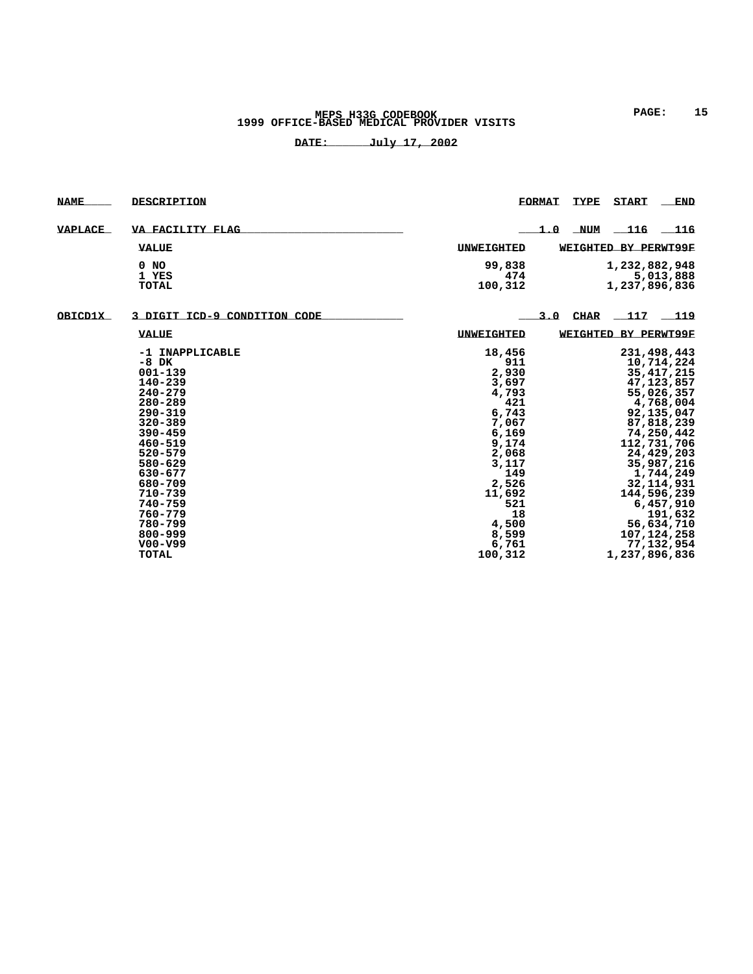## **MEPS H33G CODEBOOK PAGE: 15 1999 OFFICE-BASED MEDICAL PROVIDER VISITS**

| <b>NAME</b> | DESCRIPTION                                                                                                                                                                               |                                                                                                                              | <b>FORMAT</b> | <b>TYPE</b> | <b>START</b>         | <b>END</b>                                                                                                                                                                                                        |
|-------------|-------------------------------------------------------------------------------------------------------------------------------------------------------------------------------------------|------------------------------------------------------------------------------------------------------------------------------|---------------|-------------|----------------------|-------------------------------------------------------------------------------------------------------------------------------------------------------------------------------------------------------------------|
| VAPLACE     | VA FACILITY FLAG                                                                                                                                                                          |                                                                                                                              | 1.0           | NUM         | $-116$               | $-116$                                                                                                                                                                                                            |
|             | <b>VALUE</b>                                                                                                                                                                              | <b>UNWEIGHTED</b>                                                                                                            |               |             | WEIGHTED BY PERWT99F |                                                                                                                                                                                                                   |
|             | $0$ NO<br>1 YES                                                                                                                                                                           | 99,838<br>474                                                                                                                |               |             | 1,232,882,948        | 5,013,888                                                                                                                                                                                                         |
|             | <b>TOTAL</b>                                                                                                                                                                              | 100,312                                                                                                                      |               |             | 1,237,896,836        |                                                                                                                                                                                                                   |
| OBICD1X     | 3 DIGIT ICD-9 CONDITION CODE                                                                                                                                                              |                                                                                                                              | 3.0           | <b>CHAR</b> | 117                  | $-119$                                                                                                                                                                                                            |
|             | <b>VALUE</b>                                                                                                                                                                              | <b>UNWEIGHTED</b>                                                                                                            |               |             | WEIGHTED BY PERWT99F |                                                                                                                                                                                                                   |
|             | $-8$ DK<br>001-139<br>140-239<br>$240 - 279$<br>280-289<br>$290 - 319$<br>$320 - 389$<br>$390 - 459$<br>$460 - 519$<br>$520 - 579$<br>580-629<br>630-677<br>680-709<br>710-739<br>740-759 | 911<br>2,930<br>3,697<br>4,793<br>421<br>6,743<br>7,067<br>6,169<br>9,174<br>2,068<br>3,117<br>149<br>2,526<br>11,692<br>521 |               |             |                      | 10,714,224<br>35, 417, 215<br>47,123,857<br>55,026,357<br>4,768,004<br>92,135,047<br>87,818,239<br>74,250,442<br>112,731,706<br>24,429,203<br>35,987,216<br>1,744,249<br>32, 114, 931<br>144,596,239<br>6,457,910 |
|             | 760-779<br>780-799<br>800-999<br>$V00-V99$<br><b>TOTAL</b>                                                                                                                                | 18<br>4,500<br>8,599<br>6,761<br>100,312                                                                                     |               |             | 1,237,896,836        | 191,632<br>56,634,710<br>107,124,258<br>77,132,954                                                                                                                                                                |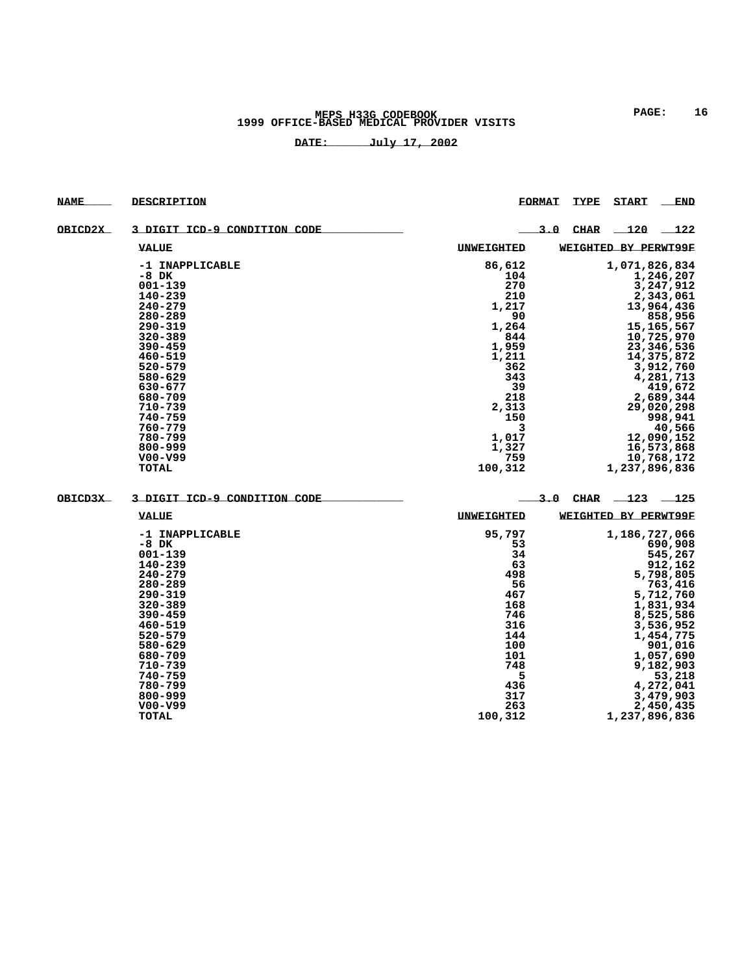| <b>NAME</b>    | <b>DESCRIPTION</b>           |                   | <b>FORMAT</b> | TYPE        | <b>START</b>         | END          |
|----------------|------------------------------|-------------------|---------------|-------------|----------------------|--------------|
| <u>OBICD2X</u> | 3 DIGIT ICD-9 CONDITION CODE |                   | 3.0           | CHAR        | __120                | __122        |
|                | <b>VALUE</b>                 | <b>UNWEIGHTED</b> |               |             | WEIGHTED BY PERWT99F |              |
|                | -1 INAPPLICABLE              | 86,612            |               |             | 1,071,826,834        |              |
|                | -8 DK                        | 104               |               |             |                      | 1,246,207    |
|                | 001-139                      | 270               |               |             |                      | 3,247,912    |
|                | 140-239                      | 210               |               |             |                      | 2,343,061    |
|                | $240 - 279$                  | 1,217             |               |             |                      | 13,964,436   |
|                | 280-289                      | 90                |               |             |                      | 858,956      |
|                | 290-319                      | 1,264             |               |             |                      | 15, 165, 567 |
|                | $320 - 389$                  | 844               |               |             |                      | 10,725,970   |
|                | $390 - 459$                  | 1,959             |               |             |                      | 23,346,536   |
|                | 460-519                      | 1,211             |               |             |                      | 14,375,872   |
|                | 520-579                      | 362               |               |             |                      | 3,912,760    |
|                | 580-629                      | 343               |               |             |                      | 4,281,713    |
|                | 630-677                      | 39                |               |             |                      | 419,672      |
|                | 680-709                      | 218               |               |             |                      | 2,689,344    |
|                | 710-739                      | 2,313             |               |             |                      | 29,020,298   |
|                | 740-759                      | 150               |               |             |                      | 998,941      |
|                | 760-779                      | 3                 |               |             |                      | 40,566       |
|                | 780-799                      | 1,017             |               |             |                      | 12,090,152   |
|                | 800-999                      | 1,327             |               |             |                      | 16,573,868   |
|                | $V00-V99$                    | 759               |               |             |                      | 10,768,172   |
|                | <b>TOTAL</b>                 | 100,312           |               |             | 1,237,896,836        |              |
| OBICD3X        | 3 DIGIT ICD-9 CONDITION CODE |                   | 3.0           | <b>CHAR</b> | $-123$               | $-125$       |
|                | <b>VALUE</b>                 | <b>UNWEIGHTED</b> |               |             | WEIGHTED BY PERWT99F |              |
|                | -1 INAPPLICABLE              | 95,797            |               |             | 1,186,727,066        |              |
|                | -8 DK                        | 53                |               |             |                      | 690,908      |
|                | 001-139                      | 34                |               |             |                      | 545,267      |
|                | 140-239                      | 63                |               |             |                      | 912,162      |
|                | $240 - 279$                  | 498               |               |             |                      | 5,798,805    |
|                | 280-289                      | 56                |               |             |                      | 763,416      |
|                | 290-319                      | 467               |               |             |                      | 5,712,760    |
|                | 320-389                      | 168               |               |             |                      | 1,831,934    |
|                | 390-459                      | 746               |               |             |                      | 8,525,586    |
|                | 460-519                      | 316               |               |             |                      | 3,536,952    |
|                | 520-579                      | 144               |               |             |                      | 1,454,775    |
|                | 580-629                      | 100               |               |             |                      | 901,016      |
|                | 680-709                      | 101               |               |             |                      | 1,057,690    |
|                | 710-739                      | 748               |               |             |                      | 9,182,903    |
|                | 740-759                      | 5                 |               |             |                      | 53,218       |
|                | 780-799                      | 436               |               |             |                      | 4,272,041    |
|                | 800-999                      | 317               |               |             |                      | 3,479,903    |
|                | $V00-V99$                    | 263               |               |             |                      | 2,450,435    |
|                | TOTAL                        | 100,312           |               |             | 1,237,896,836        |              |
|                |                              |                   |               |             |                      |              |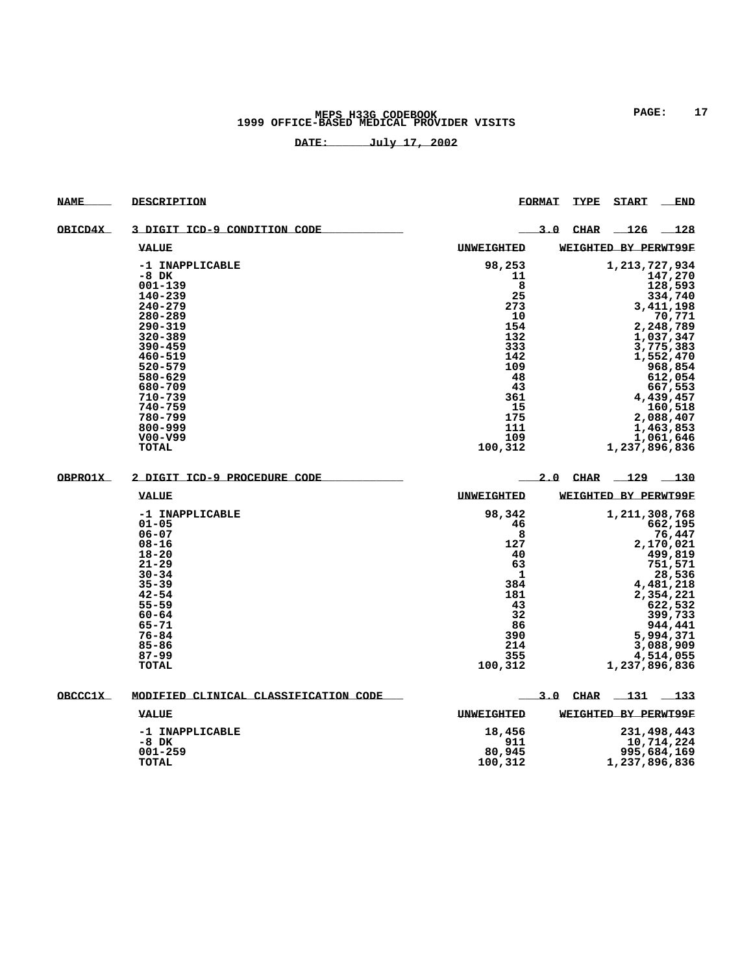# **MEPS H33G CODEBOOK PAGE: 17 1999 OFFICE-BASED MEDICAL PROVIDER VISITS**

| <b>NAME</b>    | DESCRIPTION                           |                   | <b>FORMAT</b> | <b>TYPE</b> | <b>START</b>             | <b>END</b>  |
|----------------|---------------------------------------|-------------------|---------------|-------------|--------------------------|-------------|
| <u>OBICD4X</u> | 3 DIGIT ICD-9 CONDITION CODE          |                   | 3.0           | CHAR        | 126                      | 128         |
|                | <b>VALUE</b>                          | <b>UNWEIGHTED</b> |               |             | WEIGHTED BY PERWT99F     |             |
|                | -1 INAPPLICABLE                       | 98,253            |               |             | 1,213,727,934            |             |
|                | $-8$ DK                               | 11                |               |             |                          | 147,270     |
|                | 001-139                               | 8                 |               |             |                          | 128,593     |
|                | 140-239                               | 25                |               |             |                          | 334,740     |
|                | $240 - 279$                           | 273               |               |             |                          | 3,411,198   |
|                | 280-289                               | 10                |               |             |                          | 70,771      |
|                | $290 - 319$                           | 154               |               |             |                          | 2,248,789   |
|                | 320-389                               | 132               |               |             |                          | 1,037,347   |
|                | $390 - 459$                           | 333               |               |             |                          | 3,775,383   |
|                | 460-519                               | 142               |               |             |                          | 1,552,470   |
|                |                                       | 109               |               |             |                          |             |
|                | 520-579                               |                   |               |             |                          | 968,854     |
|                | 580-629                               | 48                |               |             |                          | 612,054     |
|                | 680-709                               | 43                |               |             |                          | 667,553     |
|                | 710-739                               | 361               |               |             |                          | 4,439,457   |
|                | 740-759                               | 15                |               |             |                          | 160,518     |
|                | 780-799                               | 175               |               |             |                          | 2,088,407   |
|                | 800-999                               | 111               |               |             |                          | 1,463,853   |
|                | $V00-V99$                             | 109               |               |             |                          | 1,061,646   |
|                | TOTAL                                 | 100,312           |               |             | 1,237,896,836            |             |
| OBPRO1X        | 2 DIGIT ICD-9 PROCEDURE CODE          |                   |               |             | $2.0$ CHAR $-129$ $-130$ |             |
|                | <b>VALUE</b>                          | <b>UNWEIGHTED</b> |               |             | WEIGHTED BY PERWT99F     |             |
|                | -1 INAPPLICABLE                       | 98,342            |               |             | 1,211,308,768            |             |
|                | $01 - 05$                             | 46                |               |             |                          | 662,195     |
|                | $06 - 07$                             | 8                 |               |             |                          | 76,447      |
|                | $08 - 16$                             | 127               |               |             |                          | 2,170,021   |
|                | $18 - 20$                             | 40                |               |             |                          | 499,819     |
|                | $21 - 29$                             | 63                |               |             |                          | 751,571     |
|                | $30 - 34$                             | 1                 |               |             |                          | 28,536      |
|                | $35 - 39$                             | 384               |               |             |                          | 4,481,218   |
|                | $42 - 54$                             | 181               |               |             |                          | 2,354,221   |
|                | $55 - 59$                             | 43                |               |             |                          | 622,532     |
|                | $60 - 64$                             | 32                |               |             |                          | 399,733     |
|                | 65-71                                 | 86                |               |             |                          | 944,441     |
|                | $76 - 84$                             | 390               |               |             |                          | 5,994,371   |
|                | $85 - 86$                             | 214               |               |             |                          | 3,088,909   |
|                | $87 - 99$                             | 355               |               |             |                          | 4,514,055   |
|                | TOTAL                                 | 100,312           |               |             | 1,237,896,836            |             |
| OBCCC1X        | MODIFIED CLINICAL CLASSIFICATION CODE |                   |               | $3.0$ CHAR  | ____131 _____133         |             |
|                | <b>VALUE</b>                          | <b>UNWEIGHTED</b> |               |             | WEIGHTED BY PERWT99F     |             |
|                | -1 INAPPLICABLE                       |                   |               |             |                          |             |
|                |                                       | 18,456            |               |             |                          | 231,498,443 |
|                | $-8$ DK                               | 911               |               |             |                          | 10,714,224  |
|                | 001-259                               | 80,945            |               |             |                          | 995,684,169 |
|                | <b>TOTAL</b>                          | 100,312           |               |             | 1,237,896,836            |             |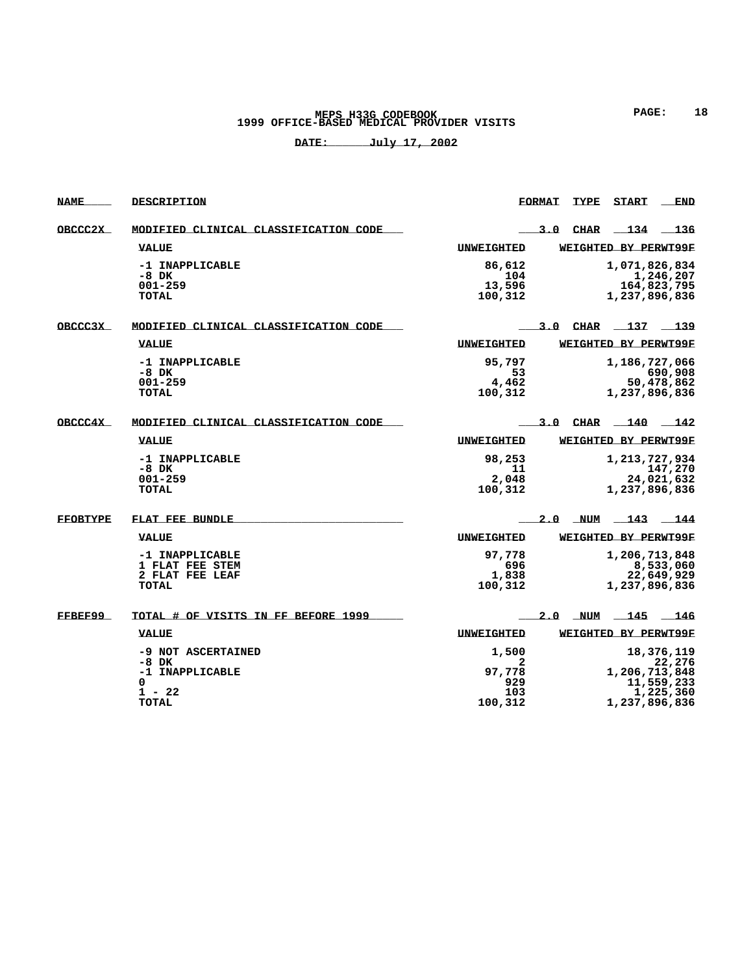## **MEPS H33G CODEBOOK PAGE: 18 1999 OFFICE-BASED MEDICAL PROVIDER VISITS**

| <b>NAME</b>     | DESCRIPTION                                                                     |                                               | <b>FORMAT</b> | <b>TYPE</b> | <b>START</b>                   | <b>END</b>                                      |
|-----------------|---------------------------------------------------------------------------------|-----------------------------------------------|---------------|-------------|--------------------------------|-------------------------------------------------|
| OBCCC2X         | MODIFIED CLINICAL CLASSIFICATION CODE                                           |                                               |               | $3.0$ CHAR  | 134                            | 136                                             |
|                 | <b>VALUE</b>                                                                    | <b>UNWEIGHTED</b>                             |               |             | WEIGHTED BY PERWT99F           |                                                 |
|                 | -1 INAPPLICABLE<br>-8 DK<br>$001 - 259$<br><b>TOTAL</b>                         | 86,612<br>104<br>13,596<br>100,312            |               |             | 1,071,826,834<br>1,237,896,836 | 1,246,207<br>164,823,795                        |
| OBCCC3X         | MODIFIED CLINICAL CLASSIFICATION CODE                                           |                                               |               |             | 3.0 CHAR 137 139               |                                                 |
|                 | <b>VALUE</b>                                                                    | <b>UNWEIGHTED</b>                             |               |             | WEIGHTED BY PERWT99F           |                                                 |
|                 | -1 INAPPLICABLE<br>-8 DK<br>$001 - 259$<br>TOTAL                                | 95,797<br>53<br>4,462<br>100,312              |               |             | 1,186,727,066<br>1,237,896,836 | 690,908<br>50,478,862                           |
| OBCCC4X         | MODIFIED CLINICAL CLASSIFICATION CODE                                           |                                               | 3.0           |             | CHAR 140 142                   |                                                 |
|                 | <b>VALUE</b>                                                                    | <b>UNWEIGHTED</b>                             |               |             | WEIGHTED BY PERWT99F           |                                                 |
|                 | -1 INAPPLICABLE<br>$-8$ DK<br>$001 - 259$<br>TOTAL                              | 98,253<br>11<br>2,048<br>100,312              |               |             | 1,213,727,934<br>1,237,896,836 | 147,270<br>24,021,632                           |
| <b>FFOBTYPE</b> | FLAT FEE BUNDLE                                                                 |                                               | 2.0           | NUM         | 143                            | $-144$                                          |
|                 | <b>VALUE</b>                                                                    | <b>UNWEIGHTED</b>                             |               |             | WEIGHTED BY PERWT99F           |                                                 |
|                 | -1 INAPPLICABLE<br>1 FLAT FEE STEM<br>2 FLAT FEE LEAF<br><b>TOTAL</b>           | 97,778<br>696<br>1,838<br>100,312             |               |             | 1,206,713,848<br>1,237,896,836 | 8,533,060<br>22,649,929                         |
| FFBEF99         | TOTAL # OF VISITS IN FF BEFORE 1999                                             |                                               |               | 2.0 NUM     | $-145$                         | 146                                             |
|                 | <b>VALUE</b>                                                                    | <b>UNWEIGHTED</b>                             |               |             | WEIGHTED BY PERWT99F           |                                                 |
|                 | -9 NOT ASCERTAINED<br>-8 DK<br>-1 INAPPLICABLE<br>0<br>$1 - 22$<br><b>TOTAL</b> | 1,500<br>2<br>97,778<br>929<br>103<br>100,312 |               |             | 1,206,713,848<br>1,237,896,836 | 18,376,119<br>22,276<br>11,559,233<br>1,225,360 |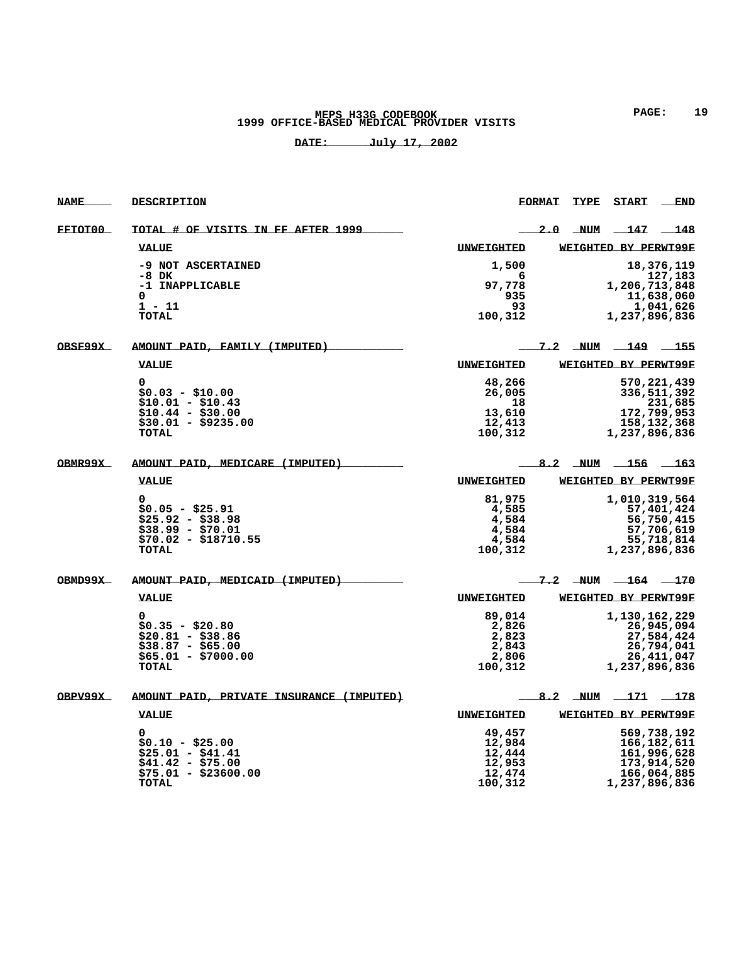## **MEPS H33G CODEBOOK PAGE: 19 1999 OFFICE-BASED MEDICAL PROVIDER VISITS**

| <b>NAME</b> | <b>DESCRIPTION</b>                       |                   | <b>FORMAT</b> | TYPE       | <b>START</b>         | <b>END</b>                 |
|-------------|------------------------------------------|-------------------|---------------|------------|----------------------|----------------------------|
| FFTOT00     | TOTAL # OF VISITS IN FF AFTER 1999       |                   | 2.0           | NUM        | $-147$               | 148                        |
|             | <b>VALUE</b>                             | <b>UNWEIGHTED</b> |               |            | WEIGHTED BY PERWT99F |                            |
|             | -9 NOT ASCERTAINED<br>-8 DK              | 1,500<br>6        |               |            |                      | 18,376,119<br>127,183      |
|             | -1 INAPPLICABLE                          | 97,778            |               |            | 1,206,713,848        |                            |
|             | 0                                        | 935               |               |            |                      | 11,638,060                 |
|             | $1 - 11$                                 | 93                |               |            |                      | 1,041,626                  |
|             | <b>TOTAL</b>                             | 100,312           |               |            | 1,237,896,836        |                            |
| OBSF99X     | AMOUNT PAID, FAMILY (IMPUTED)            |                   |               |            | 7.2 NUM 149          | ____155                    |
|             | <b>VALUE</b>                             | <b>UNWEIGHTED</b> |               |            | WEIGHTED BY PERWT99F |                            |
|             | 0                                        | 48,266            |               |            |                      | 570,221,439                |
|             | $$0.03 - $10.00$                         | 26,005            |               |            |                      | 336,511,392                |
|             | $$10.01 - $10.43$                        | 18                |               |            |                      | 231,685                    |
|             | $$10.44 - $30.00$                        | 13,610            |               |            |                      | 172,799,953                |
|             | $$30.01 - $9235.00$                      | 12,413            |               |            |                      | 158, 132, 368              |
|             | TOTAL                                    | 100,312           |               |            | 1,237,896,836        |                            |
| OBMR99X     | AMOUNT PAID, MEDICARE (IMPUTED)          |                   |               | 8.2 NUM    | $\_156$ $\_163$      |                            |
|             | <b>VALUE</b>                             | <b>UNWEIGHTED</b> |               |            | WEIGHTED BY PERWT99F |                            |
|             | 0                                        | 81,975            |               |            | 1,010,319,564        |                            |
|             | $$0.05 - $25.91$                         | 4,585             |               |            |                      | 57,401,424                 |
|             | $$25.92 - $38.98$                        | 4,584             |               |            |                      | 56,750,415                 |
|             | $$38.99 - $70.01$                        | 4,584             |               |            |                      | 57,706,619                 |
|             | $$70.02 - $18710.55$                     | 4,584             |               |            |                      | 55,718,814                 |
|             | TOTAL                                    | 100,312           |               |            | 1,237,896,836        |                            |
| OBMD99X     | AMOUNT PAID, MEDICAID (IMPUTED)          |                   | 7.2           | <b>NUM</b> | $-164$ $-170$        |                            |
|             | <b>VALUE</b>                             | <b>UNWEIGHTED</b> |               |            | WEIGHTED BY PERWT99F |                            |
|             | 0                                        | 89,014            |               |            | 1,130,162,229        |                            |
|             | $$0.35 - $20.80$                         | 2,826             |               |            |                      | 26,945,094                 |
|             | $$20.81 - $38.86$                        | 2,823             |               |            |                      | 27,584,424                 |
|             | $$38.87 - $65.00$                        | 2,843             |               |            |                      | 26,794,041                 |
|             | $$65.01 - $7000.00$                      | 2,806             |               |            |                      | 26,411,047                 |
|             | <b>TOTAL</b>                             | 100,312           |               |            | 1,237,896,836        |                            |
| OBPV99X     | AMOUNT PAID, PRIVATE INSURANCE (IMPUTED) |                   | 8.2           | NUM        |                      | 178                        |
|             | <b>VALUE</b>                             | <b>UNWEIGHTED</b> |               |            | WEIGHTED BY PERWT99F |                            |
|             | 0                                        |                   |               |            |                      |                            |
|             |                                          | 49,457            |               |            |                      | 569,738,192                |
|             | $$0.10 - $25.00$<br>$$25.01 - $41.41$    | 12,984<br>12,444  |               |            |                      | 166,182,611<br>161,996,628 |
|             | $$41.42 - $75.00$                        | 12,953            |               |            |                      | 173,914,520                |
|             | $$75.01 - $23600.00$                     | 12,474            |               |            |                      | 166,064,885                |
|             | <b>TOTAL</b>                             | 100,312           |               |            | 1,237,896,836        |                            |
|             |                                          |                   |               |            |                      |                            |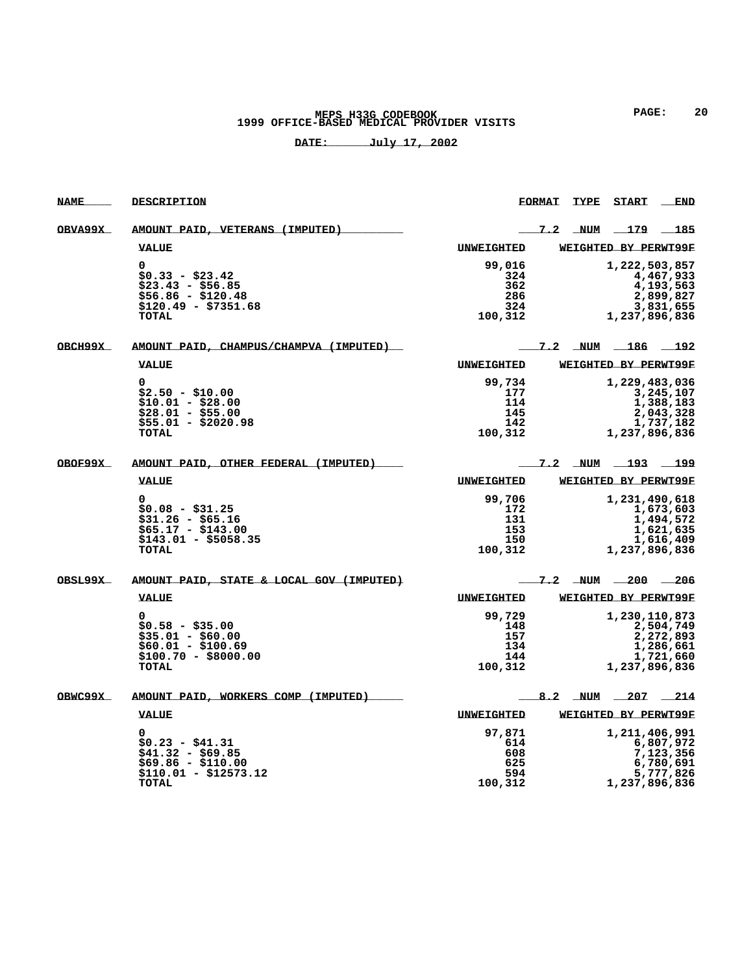# **MEPS H33G CODEBOOK PAGE: 20 1999 OFFICE-BASED MEDICAL PROVIDER VISITS**

| <b>NAME</b> | DESCRIPTION                                 |                   | <b>FORMAT</b> | <b>TYPE</b> | <b>START</b>              | <b>END</b> |
|-------------|---------------------------------------------|-------------------|---------------|-------------|---------------------------|------------|
| OBVA99X     | <u>AMOUNT PAID, VETERANS (IMPUTED)</u>      |                   |               |             | <u>7.2 NUM 179 185</u>    |            |
|             | <b>VALUE</b>                                | <b>UNWEIGHTED</b> |               |             | WEIGHTED BY PERWT99F      |            |
|             | $\Omega$                                    | 99,016            |               |             | 1,222,503,857             |            |
|             | $$0.33 - $23.42$                            | 324               |               |             |                           | 4,467,933  |
|             | $$23.43 - $56.85$                           | 362               |               |             |                           | 4,193,563  |
|             | $$56.86 - $120.48$                          | 286               |               |             |                           | 2,899,827  |
|             | $$120.49 - $7351.68$<br><b>TOTAL</b>        | 324<br>100,312    |               |             | 1,237,896,836             | 3,831,655  |
|             |                                             |                   |               |             |                           |            |
| OBCH99X     | AMOUNT PAID, CHAMPUS/CHAMPVA (IMPUTED)      |                   | 7.2           |             | $NUM$ $186$ $192$         |            |
|             | <b>VALUE</b>                                | <b>UNWEIGHTED</b> |               |             | WEIGHTED BY PERWT99F      |            |
|             | 0                                           | 99,734            |               |             | 1,229,483,036             |            |
|             | $$2.50 - $10.00$                            | 177               |               |             |                           | 3,245,107  |
|             | \$10.01 - \$28.00                           | 114               |               |             |                           | 1,388,183  |
|             | $$28.01 - $55.00$                           | 145               |               |             |                           | 2,043,328  |
|             | $$55.01 - $2020.98$<br>TOTAL                | 142<br>100,312    |               |             | 1,237,896,836             | 1,737,182  |
|             |                                             |                   |               |             |                           |            |
| OBOF99X     | AMOUNT PAID, OTHER FEDERAL (IMPUTED)        |                   |               |             | <u>7.2 NUM 193 199</u>    |            |
|             | <b>VALUE</b>                                | <b>UNWEIGHTED</b> |               |             | WEIGHTED BY PERWT99F      |            |
|             | 0                                           | 99,706            |               |             | 1,231,490,618             |            |
|             | $$0.08 - $31.25$                            | 172               |               |             |                           | 1,673,603  |
|             | $$31.26 - $65.16$                           | 131               |               |             |                           | 1,494,572  |
|             | $$65.17 - $143.00$                          | 153               |               |             |                           | 1,621,635  |
|             | $$143.01 - $5058.35$                        | 150               |               |             |                           | 1,616,409  |
|             | TOTAL                                       | 100,312           |               |             | 1,237,896,836             |            |
| OBSL99X     | AMOUNT PAID, STATE & LOCAL GOV (IMPUTED)    |                   | 7.2           |             | $NUM$ $-200$ $-206$       |            |
|             | <b>VALUE</b>                                | <b>UNWEIGHTED</b> |               |             | WEIGHTED BY PERWT99F      |            |
|             | $\Omega$                                    | 99,729            |               |             | 1,230,110,873             |            |
|             | $$0.58 - $35.00$                            | 148               |               |             |                           | 2,504,749  |
|             | $$35.01 - $60.00$                           | 157               |               |             |                           | 2,272,893  |
|             | $$60.01 - $100.69$                          | 134               |               |             |                           | 1,286,661  |
|             | $$100.70 - $8000.00$<br>TOTAL               | 144<br>100,312    |               |             |                           | 1,721,660  |
|             |                                             |                   |               |             | 1,237,896,836             |            |
| OBWC99X     | AMOUNT PAID, WORKERS COMP (IMPUTED)         |                   |               |             | 8.2 NUM $\frac{207}{214}$ |            |
|             | <b>VALUE</b>                                | <b>UNWEIGHTED</b> |               |             | WEIGHTED BY PERWT99F      |            |
|             | 0                                           | 97,871            |               |             | 1,211,406,991             |            |
|             | $$0.23 - $41.31$                            | 614               |               |             |                           | 6,807,972  |
|             | \$41.32 - \$69.85                           | 608               |               |             |                           | 7,123,356  |
|             | $$69.86 - $110.00$<br>\$110.01 - \$12573.12 | 625               |               |             |                           | 6,780,691  |
|             |                                             | 594               |               |             |                           | 5,777,826  |
|             | TOTAL                                       | 100,312           |               |             | 1,237,896,836             |            |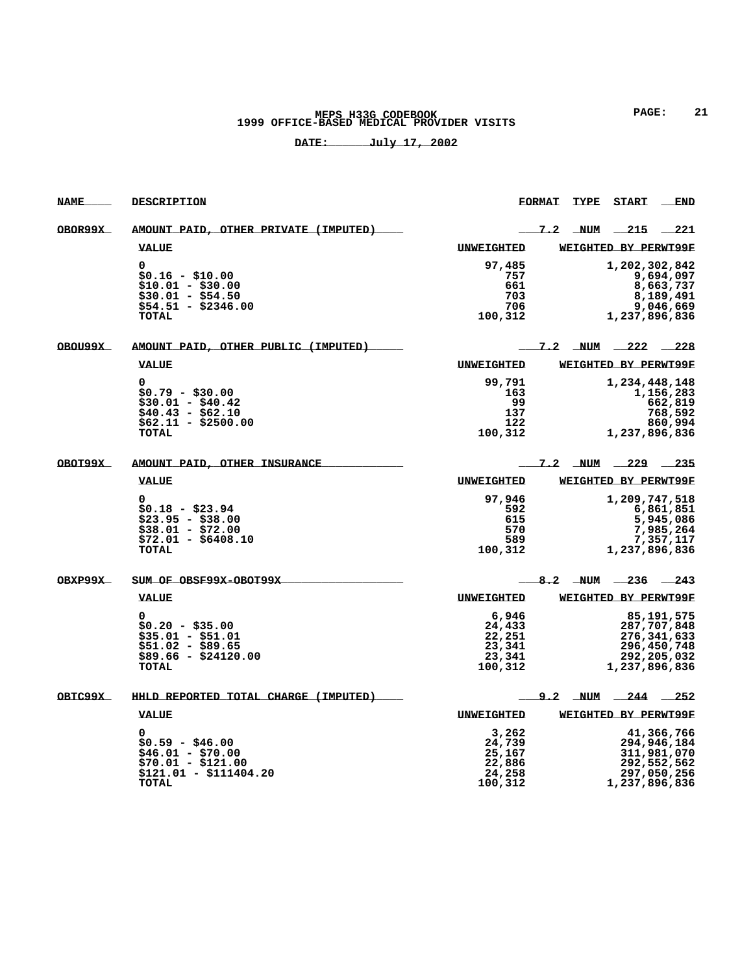# **MEPS H33G CODEBOOK PAGE: 21 1999 OFFICE-BASED MEDICAL PROVIDER VISITS**

| <b>NAME</b>    | DESCRIPTION                          |                    | <b>FORMAT</b> | <b>TYPE</b> | <b>START</b>            | <b>END</b>  |
|----------------|--------------------------------------|--------------------|---------------|-------------|-------------------------|-------------|
| OBOR99X        | AMOUNT PAID, OTHER PRIVATE (IMPUTED) |                    | 7.2           | NUM         | $-215$                  | $-221$      |
|                | <b>VALUE</b>                         | <b>UNWEIGHTED</b>  |               |             | WEIGHTED BY PERWT99F    |             |
|                | 0                                    | 97,485             |               |             | 1,202,302,842           |             |
|                | \$0.16 - \$10.00                     | 757                |               |             |                         | 9,694,097   |
|                | \$10.01 - \$30.00                    | 661                |               |             |                         | 8,663,737   |
|                | $$30.01 - $54.50$                    | 703                |               |             |                         | 8,189,491   |
|                | $$54.51 - $2346.00$                  | 706                |               |             |                         | 9,046,669   |
|                | TOTAL                                | 100,312            |               |             | 1,237,896,836           |             |
| OBOU99X        | AMOUNT PAID, OTHER PUBLIC (IMPUTED)  |                    | 7.2           |             | $NUM = 222$             | $-228$      |
|                | <b>VALUE</b>                         | <b>UNWEIGHTED</b>  |               |             | WEIGHTED BY PERWT99F    |             |
|                | 0                                    | 99,791             |               |             | 1,234,448,148           |             |
|                | \$0.79 - \$30.00                     | 163                |               |             |                         | 1,156,283   |
|                | $$30.01 - $40.42$                    | 99.                |               |             |                         | 662,819     |
|                | $$40.43 - $62.10$                    | 137                |               |             |                         | 768,592     |
|                | $$62.11 - $2500.00$                  | 122                |               |             |                         | 860,994     |
|                | <b>TOTAL</b>                         | 100,312            |               |             | 1,237,896,836           |             |
|                |                                      |                    |               |             |                         |             |
| <u>ОВОТ99Х</u> | AMOUNT PAID, OTHER INSURANCE         |                    |               |             | <u>7.2 NUM 229 235</u>  |             |
|                | <b>VALUE</b>                         | <b>IINWEIGHTED</b> |               |             | WEIGHTED BY PERWT99F    |             |
|                | 0                                    | 97,946             |               |             | 1,209,747,518           |             |
|                | \$0.18 - \$23.94                     | 592                |               |             |                         | 6,861,851   |
|                | $$23.95 - $38.00$                    | 615                |               |             |                         | 5,945,086   |
|                | $$38.01 - $72.00$                    | 570                |               |             |                         | 7,985,264   |
|                | $$72.01 - $6408.10$                  | 589                |               |             |                         | 7,357,117   |
|                | TOTAL                                | 100,312            |               |             | 1,237,896,836           |             |
| OBXP99X        | SUM OF OBSF99X-OBOT99X               |                    |               |             | $8.2$ NUM $-236$ $-243$ |             |
|                |                                      |                    |               |             |                         |             |
|                | <b>VALUE</b>                         | <b>UNWEIGHTED</b>  |               |             | WEIGHTED BY PERWT99F    |             |
|                | 0                                    | 6,946              |               |             |                         | 85,191,575  |
|                | \$0.20 - \$35.00                     | 24,433             |               |             |                         | 287,707,848 |
|                | $$35.01 - $51.01$                    | 22,251             |               |             |                         | 276,341,633 |
|                | $$51.02 - $89.65$                    | 23,341             |               |             |                         | 296,450,748 |
|                | $$89.66 - $24120.00$                 | 23,341             |               |             |                         | 292,205,032 |
|                | TOTAL                                | 100,312            |               |             | 1,237,896,836           |             |
| OBTC99X        | HHLD REPORTED TOTAL CHARGE (IMPUTED) |                    | 9.2           |             | NUM 244 252             |             |
|                | <b>VALUE</b>                         | <b>UNWEIGHTED</b>  |               |             | WEIGHTED BY PERWT99F    |             |
|                | 0                                    | 3,262              |               |             |                         | 41,366,766  |
|                | $$0.59 - $46.00$                     | 24,739             |               |             |                         | 294,946,184 |
|                | $$46.01 - $70.00$                    | 25,167             |               |             |                         | 311,981,070 |
|                | \$70.01 - \$121.00                   | 22,886             |               |             |                         | 292,552,562 |
|                | $$121.01 - $111404.20$               | 24,258             |               |             |                         | 297,050,256 |
|                | <b>TOTAL</b>                         | 100,312            |               |             | 1,237,896,836           |             |